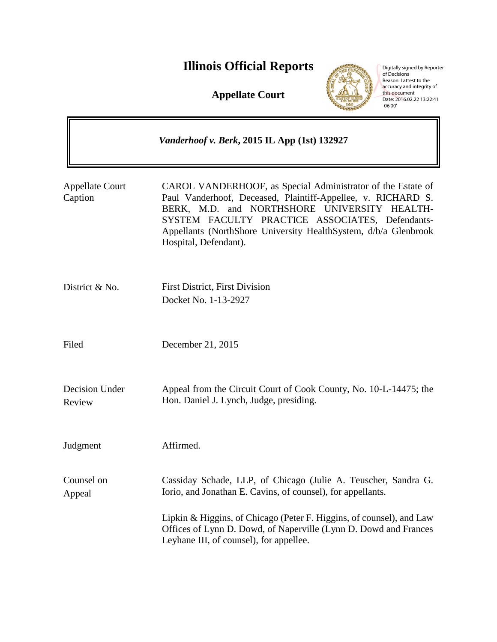# **Illinois Official Reports**

**Appellate Court**



Digitally signed by Reporter<br>of Decisions<br>Reason: I attest to the<br>accuracy and integrity of<br>this document<br>Date: 2016.02.22 13:22:41<br>-06'00'

|                                   | <i>Vanderhoof v. Berk</i> , 2015 IL App (1st) 132927                                                                                                                                                                                                                                                                       |
|-----------------------------------|----------------------------------------------------------------------------------------------------------------------------------------------------------------------------------------------------------------------------------------------------------------------------------------------------------------------------|
| <b>Appellate Court</b><br>Caption | CAROL VANDERHOOF, as Special Administrator of the Estate of<br>Paul Vanderhoof, Deceased, Plaintiff-Appellee, v. RICHARD S.<br>BERK, M.D. and NORTHSHORE UNIVERSITY HEALTH-<br>SYSTEM FACULTY PRACTICE ASSOCIATES, Defendants-<br>Appellants (NorthShore University HealthSystem, d/b/a Glenbrook<br>Hospital, Defendant). |
| District & No.                    | <b>First District, First Division</b><br>Docket No. 1-13-2927                                                                                                                                                                                                                                                              |
| Filed                             | December 21, 2015                                                                                                                                                                                                                                                                                                          |
| Decision Under<br>Review          | Appeal from the Circuit Court of Cook County, No. 10-L-14475; the<br>Hon. Daniel J. Lynch, Judge, presiding.                                                                                                                                                                                                               |
| Judgment                          | Affirmed.                                                                                                                                                                                                                                                                                                                  |
| Counsel on<br>Appeal              | Cassiday Schade, LLP, of Chicago (Julie A. Teuscher, Sandra G.<br>Iorio, and Jonathan E. Cavins, of counsel), for appellants.<br>Lipkin & Higgins, of Chicago (Peter F. Higgins, of counsel), and Law<br>Offices of Lynn D. Dowd, of Naperville (Lynn D. Dowd and Frances<br>Leyhane III, of counsel), for appellee.       |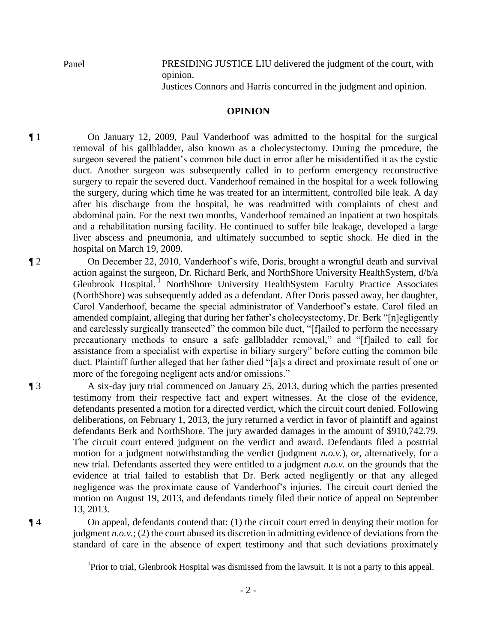Panel PRESIDING JUSTICE LIU delivered the judgment of the court, with opinion.

Justices Connors and Harris concurred in the judgment and opinion.

# **OPINION**

¶ 1 On January 12, 2009, Paul Vanderhoof was admitted to the hospital for the surgical removal of his gallbladder, also known as a cholecystectomy. During the procedure, the surgeon severed the patient's common bile duct in error after he misidentified it as the cystic duct. Another surgeon was subsequently called in to perform emergency reconstructive surgery to repair the severed duct. Vanderhoof remained in the hospital for a week following the surgery, during which time he was treated for an intermittent, controlled bile leak. A day after his discharge from the hospital, he was readmitted with complaints of chest and abdominal pain. For the next two months, Vanderhoof remained an inpatient at two hospitals and a rehabilitation nursing facility. He continued to suffer bile leakage, developed a large liver abscess and pneumonia, and ultimately succumbed to septic shock. He died in the hospital on March 19, 2009.

¶ 2 On December 22, 2010, Vanderhoof's wife, Doris, brought a wrongful death and survival action against the surgeon, Dr. Richard Berk, and NorthShore University HealthSystem, d/b/a Glenbrook Hospital.<sup>1</sup> NorthShore University HealthSystem Faculty Practice Associates (NorthShore) was subsequently added as a defendant. After Doris passed away, her daughter, Carol Vanderhoof, became the special administrator of Vanderhoof's estate. Carol filed an amended complaint, alleging that during her father's cholecystectomy, Dr. Berk "[n]egligently and carelessly surgically transected" the common bile duct, "[f]ailed to perform the necessary precautionary methods to ensure a safe gallbladder removal," and "[f]ailed to call for assistance from a specialist with expertise in biliary surgery" before cutting the common bile duct. Plaintiff further alleged that her father died "[a]s a direct and proximate result of one or more of the foregoing negligent acts and/or omissions."

¶ 3 A six-day jury trial commenced on January 25, 2013, during which the parties presented testimony from their respective fact and expert witnesses. At the close of the evidence, defendants presented a motion for a directed verdict, which the circuit court denied. Following deliberations, on February 1, 2013, the jury returned a verdict in favor of plaintiff and against defendants Berk and NorthShore. The jury awarded damages in the amount of \$910,742.79. The circuit court entered judgment on the verdict and award. Defendants filed a posttrial motion for a judgment notwithstanding the verdict (judgment *n.o.v.*), or, alternatively, for a new trial. Defendants asserted they were entitled to a judgment *n.o.v.* on the grounds that the evidence at trial failed to establish that Dr. Berk acted negligently or that any alleged negligence was the proximate cause of Vanderhoof's injuries. The circuit court denied the motion on August 19, 2013, and defendants timely filed their notice of appeal on September 13, 2013.

¶ 4 On appeal, defendants contend that: (1) the circuit court erred in denying their motion for judgment *n.o.v.*; (2) the court abused its discretion in admitting evidence of deviations from the standard of care in the absence of expert testimony and that such deviations proximately

 $\overline{a}$ 

<sup>&</sup>lt;sup>1</sup>Prior to trial, Glenbrook Hospital was dismissed from the lawsuit. It is not a party to this appeal.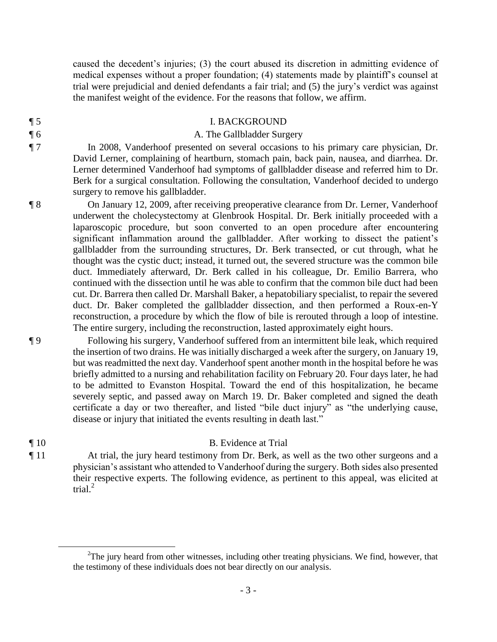caused the decedent's injuries; (3) the court abused its discretion in admitting evidence of medical expenses without a proper foundation; (4) statements made by plaintiff's counsel at trial were prejudicial and denied defendants a fair trial; and (5) the jury's verdict was against the manifest weight of the evidence. For the reasons that follow, we affirm.

# ¶ 5 I. BACKGROUND

### **The Gallbladder Surgery A. The Gallbladder Surgery**

¶ 7 In 2008, Vanderhoof presented on several occasions to his primary care physician, Dr. David Lerner, complaining of heartburn, stomach pain, back pain, nausea, and diarrhea. Dr. Lerner determined Vanderhoof had symptoms of gallbladder disease and referred him to Dr. Berk for a surgical consultation. Following the consultation, Vanderhoof decided to undergo surgery to remove his gallbladder.

¶ 8 On January 12, 2009, after receiving preoperative clearance from Dr. Lerner, Vanderhoof underwent the cholecystectomy at Glenbrook Hospital. Dr. Berk initially proceeded with a laparoscopic procedure, but soon converted to an open procedure after encountering significant inflammation around the gallbladder. After working to dissect the patient's gallbladder from the surrounding structures, Dr. Berk transected, or cut through, what he thought was the cystic duct; instead, it turned out, the severed structure was the common bile duct. Immediately afterward, Dr. Berk called in his colleague, Dr. Emilio Barrera, who continued with the dissection until he was able to confirm that the common bile duct had been cut. Dr. Barrera then called Dr. Marshall Baker, a hepatobiliary specialist, to repair the severed duct. Dr. Baker completed the gallbladder dissection, and then performed a Roux-en-Y reconstruction, a procedure by which the flow of bile is rerouted through a loop of intestine. The entire surgery, including the reconstruction, lasted approximately eight hours.

¶ 9 Following his surgery, Vanderhoof suffered from an intermittent bile leak, which required the insertion of two drains. He was initially discharged a week after the surgery, on January 19, but was readmitted the next day. Vanderhoof spent another month in the hospital before he was briefly admitted to a nursing and rehabilitation facility on February 20. Four days later, he had to be admitted to Evanston Hospital. Toward the end of this hospitalization, he became severely septic, and passed away on March 19. Dr. Baker completed and signed the death certificate a day or two thereafter, and listed "bile duct injury" as "the underlying cause, disease or injury that initiated the events resulting in death last."

#### ¶ 10 B. Evidence at Trial

¶ 11 At trial, the jury heard testimony from Dr. Berk, as well as the two other surgeons and a physician's assistant who attended to Vanderhoof during the surgery. Both sides also presented their respective experts. The following evidence, as pertinent to this appeal, was elicited at trial. $^{2}$ 

 $\overline{a}$ 

 $2$ The jury heard from other witnesses, including other treating physicians. We find, however, that the testimony of these individuals does not bear directly on our analysis.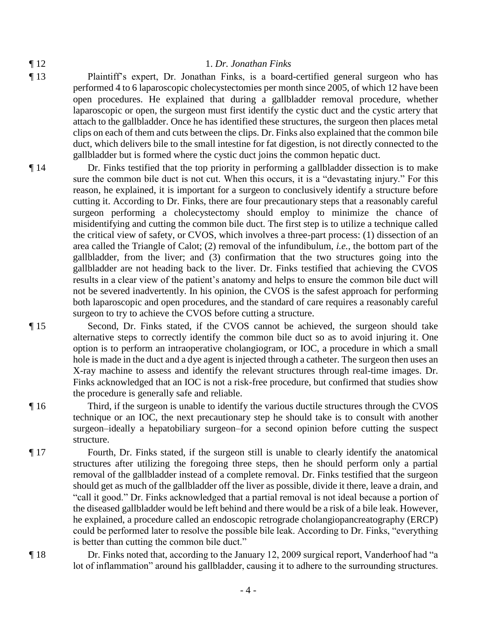#### ¶ 12 1. *Dr. Jonathan Finks*

- ¶ 13 Plaintiff's expert, Dr. Jonathan Finks, is a board-certified general surgeon who has performed 4 to 6 laparoscopic cholecystectomies per month since 2005, of which 12 have been open procedures. He explained that during a gallbladder removal procedure, whether laparoscopic or open, the surgeon must first identify the cystic duct and the cystic artery that attach to the gallbladder. Once he has identified these structures, the surgeon then places metal clips on each of them and cuts between the clips. Dr. Finks also explained that the common bile duct, which delivers bile to the small intestine for fat digestion, is not directly connected to the gallbladder but is formed where the cystic duct joins the common hepatic duct.
- ¶ 14 Dr. Finks testified that the top priority in performing a gallbladder dissection is to make sure the common bile duct is not cut. When this occurs, it is a "devastating injury." For this reason, he explained, it is important for a surgeon to conclusively identify a structure before cutting it. According to Dr. Finks, there are four precautionary steps that a reasonably careful surgeon performing a cholecystectomy should employ to minimize the chance of misidentifying and cutting the common bile duct. The first step is to utilize a technique called the critical view of safety, or CVOS, which involves a three-part process: (1) dissection of an area called the Triangle of Calot; (2) removal of the infundibulum, *i.e.*, the bottom part of the gallbladder, from the liver; and (3) confirmation that the two structures going into the gallbladder are not heading back to the liver. Dr. Finks testified that achieving the CVOS results in a clear view of the patient's anatomy and helps to ensure the common bile duct will not be severed inadvertently. In his opinion, the CVOS is the safest approach for performing both laparoscopic and open procedures, and the standard of care requires a reasonably careful surgeon to try to achieve the CVOS before cutting a structure.
- ¶ 15 Second, Dr. Finks stated, if the CVOS cannot be achieved, the surgeon should take alternative steps to correctly identify the common bile duct so as to avoid injuring it. One option is to perform an intraoperative cholangiogram, or IOC, a procedure in which a small hole is made in the duct and a dye agent is injected through a catheter. The surgeon then uses an X-ray machine to assess and identify the relevant structures through real-time images. Dr. Finks acknowledged that an IOC is not a risk-free procedure, but confirmed that studies show the procedure is generally safe and reliable.
- ¶ 16 Third, if the surgeon is unable to identify the various ductile structures through the CVOS technique or an IOC, the next precautionary step he should take is to consult with another surgeon–ideally a hepatobiliary surgeon–for a second opinion before cutting the suspect structure.
- ¶ 17 Fourth, Dr. Finks stated, if the surgeon still is unable to clearly identify the anatomical structures after utilizing the foregoing three steps, then he should perform only a partial removal of the gallbladder instead of a complete removal. Dr. Finks testified that the surgeon should get as much of the gallbladder off the liver as possible, divide it there, leave a drain, and "call it good." Dr. Finks acknowledged that a partial removal is not ideal because a portion of the diseased gallbladder would be left behind and there would be a risk of a bile leak. However, he explained, a procedure called an endoscopic retrograde cholangiopancreatography (ERCP) could be performed later to resolve the possible bile leak. According to Dr. Finks, "everything is better than cutting the common bile duct."
- 

¶ 18 Dr. Finks noted that, according to the January 12, 2009 surgical report, Vanderhoof had "a lot of inflammation" around his gallbladder, causing it to adhere to the surrounding structures.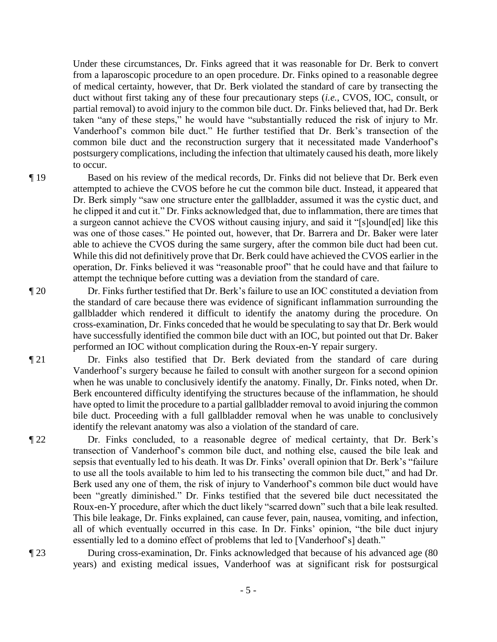Under these circumstances, Dr. Finks agreed that it was reasonable for Dr. Berk to convert from a laparoscopic procedure to an open procedure. Dr. Finks opined to a reasonable degree of medical certainty, however, that Dr. Berk violated the standard of care by transecting the duct without first taking any of these four precautionary steps (*i.e.*, CVOS, IOC, consult, or partial removal) to avoid injury to the common bile duct. Dr. Finks believed that, had Dr. Berk taken "any of these steps," he would have "substantially reduced the risk of injury to Mr. Vanderhoof's common bile duct." He further testified that Dr. Berk's transection of the common bile duct and the reconstruction surgery that it necessitated made Vanderhoof's postsurgery complications, including the infection that ultimately caused his death, more likely to occur.

¶ 19 Based on his review of the medical records, Dr. Finks did not believe that Dr. Berk even attempted to achieve the CVOS before he cut the common bile duct. Instead, it appeared that Dr. Berk simply "saw one structure enter the gallbladder, assumed it was the cystic duct, and he clipped it and cut it." Dr. Finks acknowledged that, due to inflammation, there are times that a surgeon cannot achieve the CVOS without causing injury, and said it "[s]ound[ed] like this was one of those cases." He pointed out, however, that Dr. Barrera and Dr. Baker were later able to achieve the CVOS during the same surgery, after the common bile duct had been cut. While this did not definitively prove that Dr. Berk could have achieved the CVOS earlier in the operation, Dr. Finks believed it was "reasonable proof" that he could have and that failure to attempt the technique before cutting was a deviation from the standard of care.

¶ 20 Dr. Finks further testified that Dr. Berk's failure to use an IOC constituted a deviation from the standard of care because there was evidence of significant inflammation surrounding the gallbladder which rendered it difficult to identify the anatomy during the procedure. On cross-examination, Dr. Finks conceded that he would be speculating to say that Dr. Berk would have successfully identified the common bile duct with an IOC, but pointed out that Dr. Baker performed an IOC without complication during the Roux-en-Y repair surgery.

- ¶ 21 Dr. Finks also testified that Dr. Berk deviated from the standard of care during Vanderhoof's surgery because he failed to consult with another surgeon for a second opinion when he was unable to conclusively identify the anatomy. Finally, Dr. Finks noted, when Dr. Berk encountered difficulty identifying the structures because of the inflammation, he should have opted to limit the procedure to a partial gallbladder removal to avoid injuring the common bile duct. Proceeding with a full gallbladder removal when he was unable to conclusively identify the relevant anatomy was also a violation of the standard of care.
- ¶ 22 Dr. Finks concluded, to a reasonable degree of medical certainty, that Dr. Berk's transection of Vanderhoof's common bile duct, and nothing else, caused the bile leak and sepsis that eventually led to his death. It was Dr. Finks' overall opinion that Dr. Berk's "failure to use all the tools available to him led to his transecting the common bile duct," and had Dr. Berk used any one of them, the risk of injury to Vanderhoof's common bile duct would have been "greatly diminished." Dr. Finks testified that the severed bile duct necessitated the Roux-en-Y procedure, after which the duct likely "scarred down" such that a bile leak resulted. This bile leakage, Dr. Finks explained, can cause fever, pain, nausea, vomiting, and infection, all of which eventually occurred in this case. In Dr. Finks' opinion, "the bile duct injury essentially led to a domino effect of problems that led to [Vanderhoof's] death."

¶ 23 During cross-examination, Dr. Finks acknowledged that because of his advanced age (80 years) and existing medical issues, Vanderhoof was at significant risk for postsurgical

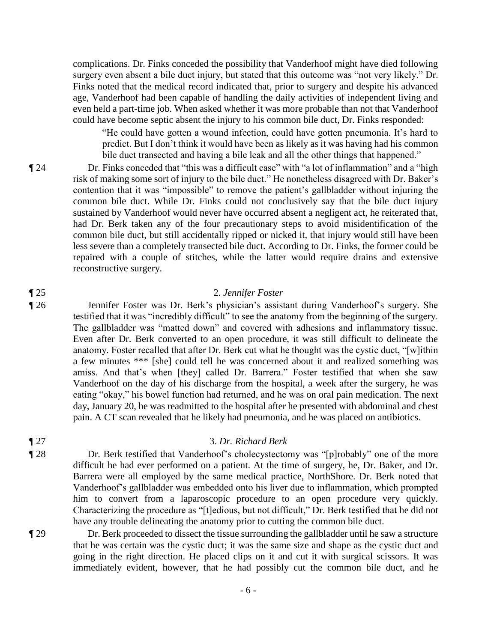complications. Dr. Finks conceded the possibility that Vanderhoof might have died following surgery even absent a bile duct injury, but stated that this outcome was "not very likely." Dr. Finks noted that the medical record indicated that, prior to surgery and despite his advanced age, Vanderhoof had been capable of handling the daily activities of independent living and even held a part-time job. When asked whether it was more probable than not that Vanderhoof could have become septic absent the injury to his common bile duct, Dr. Finks responded:

"He could have gotten a wound infection, could have gotten pneumonia. It's hard to predict. But I don't think it would have been as likely as it was having had his common bile duct transected and having a bile leak and all the other things that happened."

¶ 24 Dr. Finks conceded that "this was a difficult case" with "a lot of inflammation" and a "high risk of making some sort of injury to the bile duct." He nonetheless disagreed with Dr. Baker's contention that it was "impossible" to remove the patient's gallbladder without injuring the common bile duct. While Dr. Finks could not conclusively say that the bile duct injury sustained by Vanderhoof would never have occurred absent a negligent act, he reiterated that, had Dr. Berk taken any of the four precautionary steps to avoid misidentification of the common bile duct, but still accidentally ripped or nicked it, that injury would still have been less severe than a completely transected bile duct. According to Dr. Finks, the former could be repaired with a couple of stitches, while the latter would require drains and extensive reconstructive surgery.

### ¶ 25 2. *Jennifer Foster*

¶ 26 Jennifer Foster was Dr. Berk's physician's assistant during Vanderhoof's surgery. She testified that it was "incredibly difficult" to see the anatomy from the beginning of the surgery. The gallbladder was "matted down" and covered with adhesions and inflammatory tissue. Even after Dr. Berk converted to an open procedure, it was still difficult to delineate the anatomy. Foster recalled that after Dr. Berk cut what he thought was the cystic duct, "[w]ithin a few minutes \*\*\* [she] could tell he was concerned about it and realized something was amiss. And that's when [they] called Dr. Barrera." Foster testified that when she saw Vanderhoof on the day of his discharge from the hospital, a week after the surgery, he was eating "okay," his bowel function had returned, and he was on oral pain medication. The next day, January 20, he was readmitted to the hospital after he presented with abdominal and chest pain. A CT scan revealed that he likely had pneumonia, and he was placed on antibiotics.

# ¶ 27 3. *Dr. Richard Berk*

¶ 28 Dr. Berk testified that Vanderhoof's cholecystectomy was "[p]robably" one of the more difficult he had ever performed on a patient. At the time of surgery, he, Dr. Baker, and Dr. Barrera were all employed by the same medical practice, NorthShore. Dr. Berk noted that Vanderhoof's gallbladder was embedded onto his liver due to inflammation, which prompted him to convert from a laparoscopic procedure to an open procedure very quickly. Characterizing the procedure as "[t]edious, but not difficult," Dr. Berk testified that he did not have any trouble delineating the anatomy prior to cutting the common bile duct.

¶ 29 Dr. Berk proceeded to dissect the tissue surrounding the gallbladder until he saw a structure that he was certain was the cystic duct; it was the same size and shape as the cystic duct and going in the right direction. He placed clips on it and cut it with surgical scissors. It was immediately evident, however, that he had possibly cut the common bile duct, and he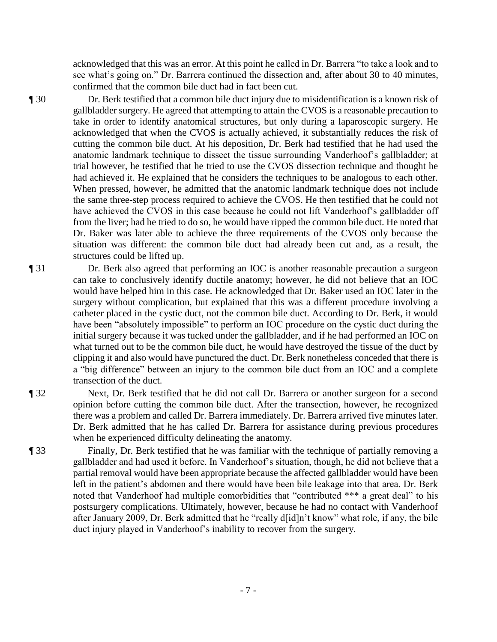acknowledged that this was an error. At this point he called in Dr. Barrera "to take a look and to see what's going on." Dr. Barrera continued the dissection and, after about 30 to 40 minutes, confirmed that the common bile duct had in fact been cut.

¶ 30 Dr. Berk testified that a common bile duct injury due to misidentification is a known risk of gallbladder surgery. He agreed that attempting to attain the CVOS is a reasonable precaution to take in order to identify anatomical structures, but only during a laparoscopic surgery. He acknowledged that when the CVOS is actually achieved, it substantially reduces the risk of cutting the common bile duct. At his deposition, Dr. Berk had testified that he had used the anatomic landmark technique to dissect the tissue surrounding Vanderhoof's gallbladder; at trial however, he testified that he tried to use the CVOS dissection technique and thought he had achieved it. He explained that he considers the techniques to be analogous to each other. When pressed, however, he admitted that the anatomic landmark technique does not include the same three-step process required to achieve the CVOS. He then testified that he could not have achieved the CVOS in this case because he could not lift Vanderhoof's gallbladder off from the liver; had he tried to do so, he would have ripped the common bile duct. He noted that Dr. Baker was later able to achieve the three requirements of the CVOS only because the situation was different: the common bile duct had already been cut and, as a result, the structures could be lifted up.

¶ 31 Dr. Berk also agreed that performing an IOC is another reasonable precaution a surgeon can take to conclusively identify ductile anatomy; however, he did not believe that an IOC would have helped him in this case. He acknowledged that Dr. Baker used an IOC later in the surgery without complication, but explained that this was a different procedure involving a catheter placed in the cystic duct, not the common bile duct. According to Dr. Berk, it would have been "absolutely impossible" to perform an IOC procedure on the cystic duct during the initial surgery because it was tucked under the gallbladder, and if he had performed an IOC on what turned out to be the common bile duct, he would have destroyed the tissue of the duct by clipping it and also would have punctured the duct. Dr. Berk nonetheless conceded that there is a "big difference" between an injury to the common bile duct from an IOC and a complete transection of the duct.

¶ 32 Next, Dr. Berk testified that he did not call Dr. Barrera or another surgeon for a second opinion before cutting the common bile duct. After the transection, however, he recognized there was a problem and called Dr. Barrera immediately. Dr. Barrera arrived five minutes later. Dr. Berk admitted that he has called Dr. Barrera for assistance during previous procedures when he experienced difficulty delineating the anatomy.

¶ 33 Finally, Dr. Berk testified that he was familiar with the technique of partially removing a gallbladder and had used it before. In Vanderhoof's situation, though, he did not believe that a partial removal would have been appropriate because the affected gallbladder would have been left in the patient's abdomen and there would have been bile leakage into that area. Dr. Berk noted that Vanderhoof had multiple comorbidities that "contributed \*\*\* a great deal" to his postsurgery complications. Ultimately, however, because he had no contact with Vanderhoof after January 2009, Dr. Berk admitted that he "really d[id]n't know" what role, if any, the bile duct injury played in Vanderhoof's inability to recover from the surgery.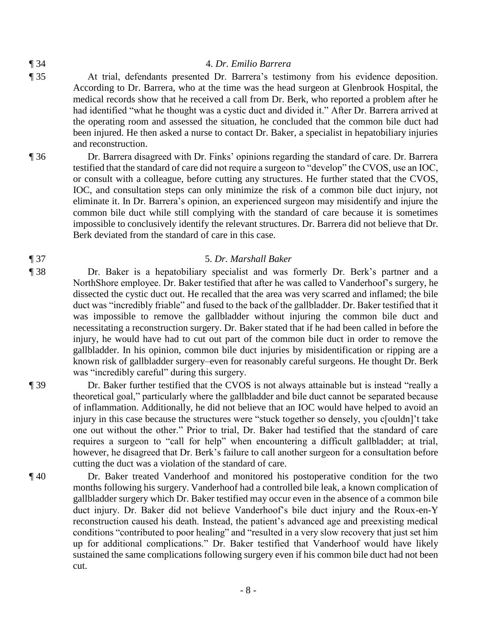# ¶ 34 4. *Dr. Emilio Barrera*

- ¶ 35 At trial, defendants presented Dr. Barrera's testimony from his evidence deposition. According to Dr. Barrera, who at the time was the head surgeon at Glenbrook Hospital, the medical records show that he received a call from Dr. Berk, who reported a problem after he had identified "what he thought was a cystic duct and divided it." After Dr. Barrera arrived at the operating room and assessed the situation, he concluded that the common bile duct had been injured. He then asked a nurse to contact Dr. Baker, a specialist in hepatobiliary injuries and reconstruction.
- ¶ 36 Dr. Barrera disagreed with Dr. Finks' opinions regarding the standard of care. Dr. Barrera testified that the standard of care did not require a surgeon to "develop" the CVOS, use an IOC, or consult with a colleague, before cutting any structures. He further stated that the CVOS, IOC, and consultation steps can only minimize the risk of a common bile duct injury, not eliminate it. In Dr. Barrera's opinion, an experienced surgeon may misidentify and injure the common bile duct while still complying with the standard of care because it is sometimes impossible to conclusively identify the relevant structures. Dr. Barrera did not believe that Dr. Berk deviated from the standard of care in this case.

### ¶ 37 5. *Dr. Marshall Baker*

¶ 38 Dr. Baker is a hepatobiliary specialist and was formerly Dr. Berk's partner and a NorthShore employee. Dr. Baker testified that after he was called to Vanderhoof's surgery, he dissected the cystic duct out. He recalled that the area was very scarred and inflamed; the bile duct was "incredibly friable" and fused to the back of the gallbladder. Dr. Baker testified that it was impossible to remove the gallbladder without injuring the common bile duct and necessitating a reconstruction surgery. Dr. Baker stated that if he had been called in before the injury, he would have had to cut out part of the common bile duct in order to remove the gallbladder. In his opinion, common bile duct injuries by misidentification or ripping are a known risk of gallbladder surgery–even for reasonably careful surgeons. He thought Dr. Berk was "incredibly careful" during this surgery.

¶ 39 Dr. Baker further testified that the CVOS is not always attainable but is instead "really a theoretical goal," particularly where the gallbladder and bile duct cannot be separated because of inflammation. Additionally, he did not believe that an IOC would have helped to avoid an injury in this case because the structures were "stuck together so densely, you c[ouldn]'t take one out without the other." Prior to trial, Dr. Baker had testified that the standard of care requires a surgeon to "call for help" when encountering a difficult gallbladder; at trial, however, he disagreed that Dr. Berk's failure to call another surgeon for a consultation before cutting the duct was a violation of the standard of care.

¶ 40 Dr. Baker treated Vanderhoof and monitored his postoperative condition for the two months following his surgery. Vanderhoof had a controlled bile leak, a known complication of gallbladder surgery which Dr. Baker testified may occur even in the absence of a common bile duct injury. Dr. Baker did not believe Vanderhoof's bile duct injury and the Roux-en-Y reconstruction caused his death. Instead, the patient's advanced age and preexisting medical conditions "contributed to poor healing" and "resulted in a very slow recovery that just set him up for additional complications." Dr. Baker testified that Vanderhoof would have likely sustained the same complications following surgery even if his common bile duct had not been cut.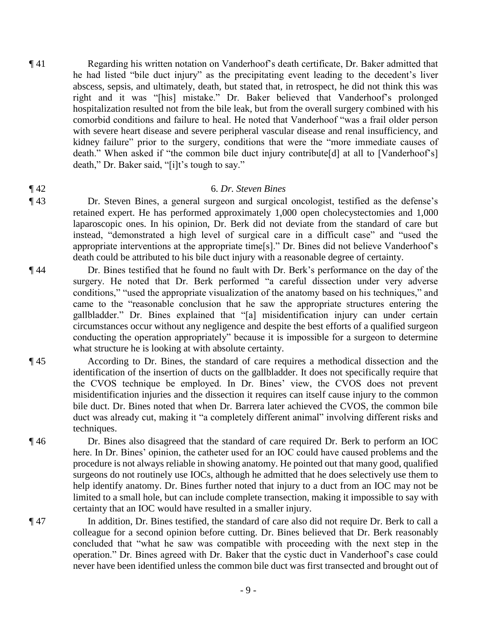¶ 41 Regarding his written notation on Vanderhoof's death certificate, Dr. Baker admitted that he had listed "bile duct injury" as the precipitating event leading to the decedent's liver abscess, sepsis, and ultimately, death, but stated that, in retrospect, he did not think this was right and it was "[his] mistake." Dr. Baker believed that Vanderhoof's prolonged hospitalization resulted not from the bile leak, but from the overall surgery combined with his comorbid conditions and failure to heal. He noted that Vanderhoof "was a frail older person with severe heart disease and severe peripheral vascular disease and renal insufficiency, and kidney failure" prior to the surgery, conditions that were the "more immediate causes of death." When asked if "the common bile duct injury contribute[d] at all to [Vanderhoof's] death," Dr. Baker said, "[i]t's tough to say."

### ¶ 42 6. *Dr. Steven Bines*

- ¶ 43 Dr. Steven Bines, a general surgeon and surgical oncologist, testified as the defense's retained expert. He has performed approximately 1,000 open cholecystectomies and 1,000 laparoscopic ones. In his opinion, Dr. Berk did not deviate from the standard of care but instead, "demonstrated a high level of surgical care in a difficult case" and "used the appropriate interventions at the appropriate time[s]." Dr. Bines did not believe Vanderhoof's death could be attributed to his bile duct injury with a reasonable degree of certainty.
- ¶ 44 Dr. Bines testified that he found no fault with Dr. Berk's performance on the day of the surgery. He noted that Dr. Berk performed "a careful dissection under very adverse conditions," "used the appropriate visualization of the anatomy based on his techniques," and came to the "reasonable conclusion that he saw the appropriate structures entering the gallbladder." Dr. Bines explained that "[a] misidentification injury can under certain circumstances occur without any negligence and despite the best efforts of a qualified surgeon conducting the operation appropriately" because it is impossible for a surgeon to determine what structure he is looking at with absolute certainty.
- ¶ 45 According to Dr. Bines, the standard of care requires a methodical dissection and the identification of the insertion of ducts on the gallbladder. It does not specifically require that the CVOS technique be employed. In Dr. Bines' view, the CVOS does not prevent misidentification injuries and the dissection it requires can itself cause injury to the common bile duct. Dr. Bines noted that when Dr. Barrera later achieved the CVOS, the common bile duct was already cut, making it "a completely different animal" involving different risks and techniques.
- ¶ 46 Dr. Bines also disagreed that the standard of care required Dr. Berk to perform an IOC here. In Dr. Bines' opinion, the catheter used for an IOC could have caused problems and the procedure is not always reliable in showing anatomy. He pointed out that many good, qualified surgeons do not routinely use IOCs, although he admitted that he does selectively use them to help identify anatomy. Dr. Bines further noted that injury to a duct from an IOC may not be limited to a small hole, but can include complete transection, making it impossible to say with certainty that an IOC would have resulted in a smaller injury.
- ¶ 47 In addition, Dr. Bines testified, the standard of care also did not require Dr. Berk to call a colleague for a second opinion before cutting. Dr. Bines believed that Dr. Berk reasonably concluded that "what he saw was compatible with proceeding with the next step in the operation." Dr. Bines agreed with Dr. Baker that the cystic duct in Vanderhoof's case could never have been identified unless the common bile duct was first transected and brought out of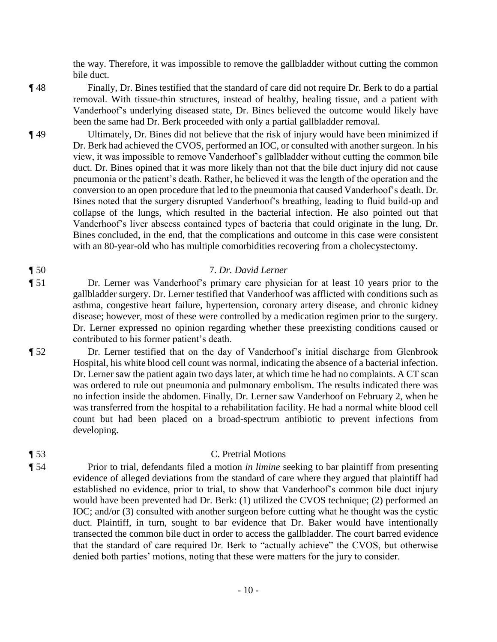the way. Therefore, it was impossible to remove the gallbladder without cutting the common bile duct.

¶ 48 Finally, Dr. Bines testified that the standard of care did not require Dr. Berk to do a partial removal. With tissue-thin structures, instead of healthy, healing tissue, and a patient with Vanderhoof's underlying diseased state, Dr. Bines believed the outcome would likely have been the same had Dr. Berk proceeded with only a partial gallbladder removal.

¶ 49 Ultimately, Dr. Bines did not believe that the risk of injury would have been minimized if Dr. Berk had achieved the CVOS, performed an IOC, or consulted with another surgeon. In his view, it was impossible to remove Vanderhoof's gallbladder without cutting the common bile duct. Dr. Bines opined that it was more likely than not that the bile duct injury did not cause pneumonia or the patient's death. Rather, he believed it was the length of the operation and the conversion to an open procedure that led to the pneumonia that caused Vanderhoof's death. Dr. Bines noted that the surgery disrupted Vanderhoof's breathing, leading to fluid build-up and collapse of the lungs, which resulted in the bacterial infection. He also pointed out that Vanderhoof's liver abscess contained types of bacteria that could originate in the lung. Dr. Bines concluded, in the end, that the complications and outcome in this case were consistent with an 80-year-old who has multiple comorbidities recovering from a cholecystectomy.

# ¶ 50 7. *Dr. David Lerner*

¶ 51 Dr. Lerner was Vanderhoof's primary care physician for at least 10 years prior to the gallbladder surgery. Dr. Lerner testified that Vanderhoof was afflicted with conditions such as asthma, congestive heart failure, hypertension, coronary artery disease, and chronic kidney disease; however, most of these were controlled by a medication regimen prior to the surgery. Dr. Lerner expressed no opinion regarding whether these preexisting conditions caused or contributed to his former patient's death.

¶ 52 Dr. Lerner testified that on the day of Vanderhoof's initial discharge from Glenbrook Hospital, his white blood cell count was normal, indicating the absence of a bacterial infection. Dr. Lerner saw the patient again two days later, at which time he had no complaints. A CT scan was ordered to rule out pneumonia and pulmonary embolism. The results indicated there was no infection inside the abdomen. Finally, Dr. Lerner saw Vanderhoof on February 2, when he was transferred from the hospital to a rehabilitation facility. He had a normal white blood cell count but had been placed on a broad-spectrum antibiotic to prevent infections from developing.

# ¶ 53 C. Pretrial Motions

¶ 54 Prior to trial, defendants filed a motion *in limine* seeking to bar plaintiff from presenting evidence of alleged deviations from the standard of care where they argued that plaintiff had established no evidence, prior to trial, to show that Vanderhoof's common bile duct injury would have been prevented had Dr. Berk: (1) utilized the CVOS technique; (2) performed an IOC; and/or (3) consulted with another surgeon before cutting what he thought was the cystic duct. Plaintiff, in turn, sought to bar evidence that Dr. Baker would have intentionally transected the common bile duct in order to access the gallbladder. The court barred evidence that the standard of care required Dr. Berk to "actually achieve" the CVOS, but otherwise denied both parties' motions, noting that these were matters for the jury to consider.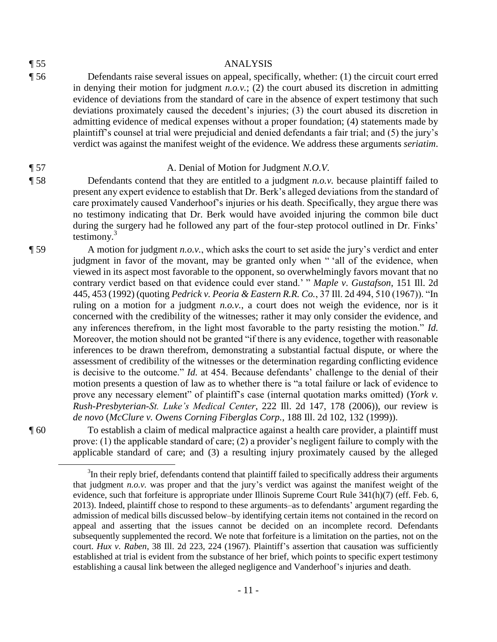$\overline{a}$ 

#### ¶ 55 ANALYSIS

¶ 56 Defendants raise several issues on appeal, specifically, whether: (1) the circuit court erred in denying their motion for judgment *n.o.v.*; (2) the court abused its discretion in admitting evidence of deviations from the standard of care in the absence of expert testimony that such deviations proximately caused the decedent's injuries; (3) the court abused its discretion in admitting evidence of medical expenses without a proper foundation; (4) statements made by plaintiff's counsel at trial were prejudicial and denied defendants a fair trial; and (5) the jury's verdict was against the manifest weight of the evidence. We address these arguments *seriatim*.

# ¶ 57 A. Denial of Motion for Judgment *N.O.V.*

- ¶ 58 Defendants contend that they are entitled to a judgment *n.o.v.* because plaintiff failed to present any expert evidence to establish that Dr. Berk's alleged deviations from the standard of care proximately caused Vanderhoof's injuries or his death. Specifically, they argue there was no testimony indicating that Dr. Berk would have avoided injuring the common bile duct during the surgery had he followed any part of the four-step protocol outlined in Dr. Finks' testimony. $3$
- ¶ 59 A motion for judgment *n.o.v.*, which asks the court to set aside the jury's verdict and enter judgment in favor of the movant, may be granted only when " 'all of the evidence, when viewed in its aspect most favorable to the opponent, so overwhelmingly favors movant that no contrary verdict based on that evidence could ever stand.' " *Maple v*. *Gustafson*, 151 Ill. 2d 445, 453 (1992) (quoting *Pedrick v. Peoria & Eastern R.R. Co.*, 37 Ill. 2d 494, 510 (1967)). "In ruling on a motion for a judgment *n.o.v.*, a court does not weigh the evidence, nor is it concerned with the credibility of the witnesses; rather it may only consider the evidence, and any inferences therefrom, in the light most favorable to the party resisting the motion." *Id.* Moreover, the motion should not be granted "if there is any evidence, together with reasonable inferences to be drawn therefrom, demonstrating a substantial factual dispute, or where the assessment of credibility of the witnesses or the determination regarding conflicting evidence is decisive to the outcome." *Id.* at 454. Because defendants' challenge to the denial of their motion presents a question of law as to whether there is "a total failure or lack of evidence to prove any necessary element" of plaintiff's case (internal quotation marks omitted) (*York v. Rush-Presbyterian-St. Luke's Medical Center*, 222 Ill. 2d 147, 178 (2006)), our review is *de novo* (*McClure v. Owens Corning Fiberglas Corp.*, 188 Ill. 2d 102, 132 (1999)).

¶ 60 To establish a claim of medical malpractice against a health care provider, a plaintiff must prove: (1) the applicable standard of care; (2) a provider's negligent failure to comply with the applicable standard of care; and (3) a resulting injury proximately caused by the alleged

 $3$ In their reply brief, defendants contend that plaintiff failed to specifically address their arguments that judgment *n.o.v.* was proper and that the jury's verdict was against the manifest weight of the evidence, such that forfeiture is appropriate under Illinois Supreme Court Rule 341(h)(7) (eff. Feb. 6, 2013). Indeed, plaintiff chose to respond to these arguments–as to defendants' argument regarding the admission of medical bills discussed below–by identifying certain items not contained in the record on appeal and asserting that the issues cannot be decided on an incomplete record. Defendants subsequently supplemented the record. We note that forfeiture is a limitation on the parties, not on the court. *Hux v. Raben*, 38 Ill. 2d 223, 224 (1967). Plaintiff's assertion that causation was sufficiently established at trial is evident from the substance of her brief, which points to specific expert testimony establishing a causal link between the alleged negligence and Vanderhoof's injuries and death.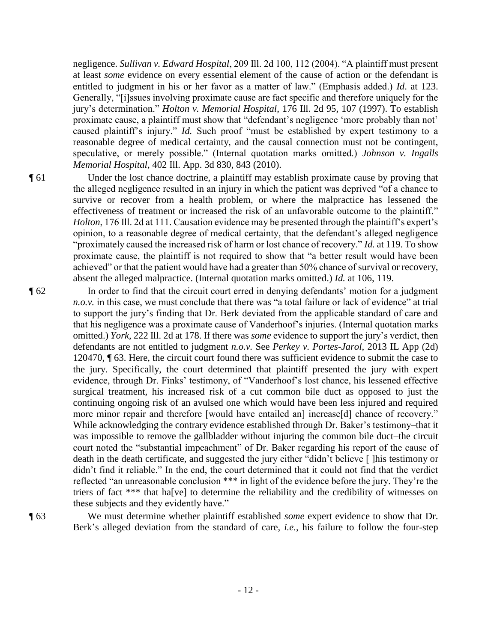negligence. *Sullivan v. Edward Hospital*, 209 Ill. 2d 100, 112 (2004). "A plaintiff must present at least *some* evidence on every essential element of the cause of action or the defendant is entitled to judgment in his or her favor as a matter of law." (Emphasis added.) *Id*. at 123. Generally, "[i]ssues involving proximate cause are fact specific and therefore uniquely for the jury's determination." *Holton v. Memorial Hospital*, 176 Ill. 2d 95, 107 (1997). To establish proximate cause, a plaintiff must show that "defendant's negligence 'more probably than not' caused plaintiff's injury." *Id.* Such proof "must be established by expert testimony to a reasonable degree of medical certainty, and the causal connection must not be contingent, speculative, or merely possible." (Internal quotation marks omitted.) *Johnson v. Ingalls Memorial Hospital*, 402 Ill. App. 3d 830, 843 (2010).

¶ 61 Under the lost chance doctrine, a plaintiff may establish proximate cause by proving that the alleged negligence resulted in an injury in which the patient was deprived "of a chance to survive or recover from a health problem, or where the malpractice has lessened the effectiveness of treatment or increased the risk of an unfavorable outcome to the plaintiff." *Holton*, 176 Ill. 2d at 111. Causation evidence may be presented through the plaintiff's expert's opinion, to a reasonable degree of medical certainty, that the defendant's alleged negligence "proximately caused the increased risk of harm or lost chance of recovery." *Id.* at 119. To show proximate cause, the plaintiff is not required to show that "a better result would have been achieved" or that the patient would have had a greater than 50% chance of survival or recovery, absent the alleged malpractice. (Internal quotation marks omitted.) *Id.* at 106, 119.

¶ 62 In order to find that the circuit court erred in denying defendants' motion for a judgment *n.o.v.* in this case, we must conclude that there was "a total failure or lack of evidence" at trial to support the jury's finding that Dr. Berk deviated from the applicable standard of care and that his negligence was a proximate cause of Vanderhoof's injuries. (Internal quotation marks omitted.) *York*, 222 Ill. 2d at 178. If there was *some* evidence to support the jury's verdict, then defendants are not entitled to judgment *n.o.v.* See *Perkey v. Portes-Jarol*, 2013 IL App (2d) 120470, ¶ 63. Here, the circuit court found there was sufficient evidence to submit the case to the jury. Specifically, the court determined that plaintiff presented the jury with expert evidence, through Dr. Finks' testimony, of "Vanderhoof's lost chance, his lessened effective surgical treatment, his increased risk of a cut common bile duct as opposed to just the continuing ongoing risk of an avulsed one which would have been less injured and required more minor repair and therefore [would have entailed an] increase[d] chance of recovery." While acknowledging the contrary evidence established through Dr. Baker's testimony–that it was impossible to remove the gallbladder without injuring the common bile duct–the circuit court noted the "substantial impeachment" of Dr. Baker regarding his report of the cause of death in the death certificate, and suggested the jury either "didn't believe [ ]his testimony or didn't find it reliable." In the end, the court determined that it could not find that the verdict reflected "an unreasonable conclusion \*\*\* in light of the evidence before the jury. They're the triers of fact \*\*\* that ha[ve] to determine the reliability and the credibility of witnesses on these subjects and they evidently have."

¶ 63 We must determine whether plaintiff established *some* expert evidence to show that Dr. Berk's alleged deviation from the standard of care, *i.e.*, his failure to follow the four-step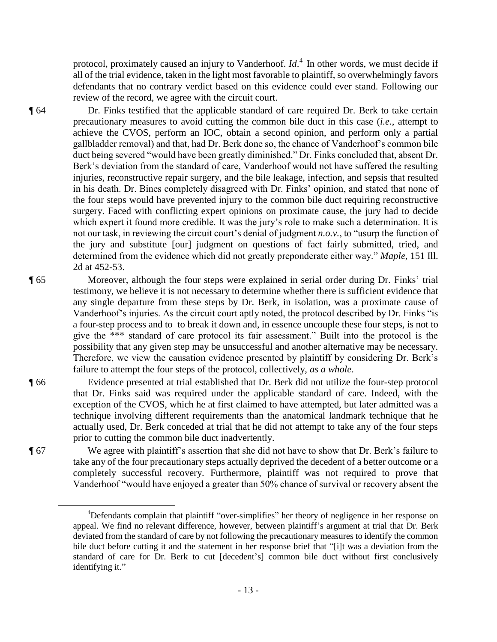protocol, proximately caused an injury to Vanderhoof. *Id*. 4 In other words, we must decide if all of the trial evidence, taken in the light most favorable to plaintiff, so overwhelmingly favors defendants that no contrary verdict based on this evidence could ever stand. Following our review of the record, we agree with the circuit court.

¶ 64 Dr. Finks testified that the applicable standard of care required Dr. Berk to take certain precautionary measures to avoid cutting the common bile duct in this case (*i.e.*, attempt to achieve the CVOS, perform an IOC, obtain a second opinion, and perform only a partial gallbladder removal) and that, had Dr. Berk done so, the chance of Vanderhoof's common bile duct being severed "would have been greatly diminished." Dr. Finks concluded that, absent Dr. Berk's deviation from the standard of care, Vanderhoof would not have suffered the resulting injuries, reconstructive repair surgery, and the bile leakage, infection, and sepsis that resulted in his death. Dr. Bines completely disagreed with Dr. Finks' opinion, and stated that none of the four steps would have prevented injury to the common bile duct requiring reconstructive surgery. Faced with conflicting expert opinions on proximate cause, the jury had to decide which expert it found more credible. It was the jury's role to make such a determination. It is not our task, in reviewing the circuit court's denial of judgment *n.o.v.*, to "usurp the function of the jury and substitute [our] judgment on questions of fact fairly submitted, tried, and determined from the evidence which did not greatly preponderate either way." *Maple*, 151 Ill. 2d at 452-53.

- ¶ 65 Moreover, although the four steps were explained in serial order during Dr. Finks' trial testimony, we believe it is not necessary to determine whether there is sufficient evidence that any single departure from these steps by Dr. Berk, in isolation, was a proximate cause of Vanderhoof's injuries. As the circuit court aptly noted, the protocol described by Dr. Finks "is a four-step process and to–to break it down and, in essence uncouple these four steps, is not to give the \*\*\* standard of care protocol its fair assessment." Built into the protocol is the possibility that any given step may be unsuccessful and another alternative may be necessary. Therefore, we view the causation evidence presented by plaintiff by considering Dr. Berk's failure to attempt the four steps of the protocol, collectively, *as a whole*.
- ¶ 66 Evidence presented at trial established that Dr. Berk did not utilize the four-step protocol that Dr. Finks said was required under the applicable standard of care. Indeed, with the exception of the CVOS, which he at first claimed to have attempted, but later admitted was a technique involving different requirements than the anatomical landmark technique that he actually used, Dr. Berk conceded at trial that he did not attempt to take any of the four steps prior to cutting the common bile duct inadvertently.

¶ 67 We agree with plaintiff's assertion that she did not have to show that Dr. Berk's failure to take any of the four precautionary steps actually deprived the decedent of a better outcome or a completely successful recovery. Furthermore, plaintiff was not required to prove that Vanderhoof "would have enjoyed a greater than 50% chance of survival or recovery absent the

 $\overline{a}$ 

<sup>4</sup>Defendants complain that plaintiff "over-simplifies" her theory of negligence in her response on appeal. We find no relevant difference, however, between plaintiff's argument at trial that Dr. Berk deviated from the standard of care by not following the precautionary measures to identify the common bile duct before cutting it and the statement in her response brief that "[i]t was a deviation from the standard of care for Dr. Berk to cut [decedent's] common bile duct without first conclusively identifying it."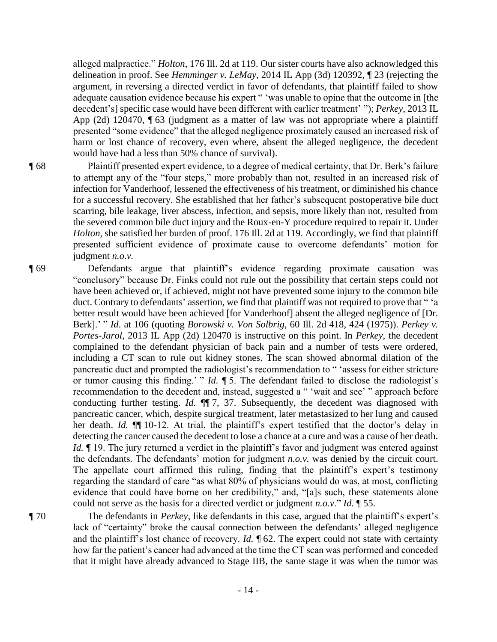alleged malpractice." *Holton*, 176 Ill. 2d at 119. Our sister courts have also acknowledged this delineation in proof. See *Hemminger v. LeMay*, 2014 IL App (3d) 120392, ¶ 23 (rejecting the argument, in reversing a directed verdict in favor of defendants, that plaintiff failed to show adequate causation evidence because his expert " 'was unable to opine that the outcome in [the decedent's] specific case would have been different with earlier treatment' "); *Perkey*, 2013 IL App (2d) 120470, ¶ 63 (judgment as a matter of law was not appropriate where a plaintiff presented "some evidence" that the alleged negligence proximately caused an increased risk of harm or lost chance of recovery, even where, absent the alleged negligence, the decedent would have had a less than 50% chance of survival).

¶ 68 Plaintiff presented expert evidence, to a degree of medical certainty, that Dr. Berk's failure to attempt any of the "four steps," more probably than not, resulted in an increased risk of infection for Vanderhoof, lessened the effectiveness of his treatment, or diminished his chance for a successful recovery. She established that her father's subsequent postoperative bile duct scarring, bile leakage, liver abscess, infection, and sepsis, more likely than not, resulted from the severed common bile duct injury and the Roux-en-Y procedure required to repair it. Under *Holton*, she satisfied her burden of proof. 176 Ill. 2d at 119. Accordingly, we find that plaintiff presented sufficient evidence of proximate cause to overcome defendants' motion for judgment *n.o.v.*

¶ 69 Defendants argue that plaintiff's evidence regarding proximate causation was "conclusory" because Dr. Finks could not rule out the possibility that certain steps could not have been achieved or, if achieved, might not have prevented some injury to the common bile duct. Contrary to defendants' assertion, we find that plaintiff was not required to prove that " 'a better result would have been achieved [for Vanderhoof] absent the alleged negligence of [Dr. Berk].' " *Id*. at 106 (quoting *Borowski v. Von Solbrig*, 60 Ill. 2d 418, 424 (1975)). *Perkey v. Portes-Jarol*, 2013 IL App (2d) 120470 is instructive on this point. In *Perkey*, the decedent complained to the defendant physician of back pain and a number of tests were ordered, including a CT scan to rule out kidney stones. The scan showed abnormal dilation of the pancreatic duct and prompted the radiologist's recommendation to " 'assess for either stricture or tumor causing this finding.' " *Id.* ¶ 5. The defendant failed to disclose the radiologist's recommendation to the decedent and, instead, suggested a " 'wait and see' " approach before conducting further testing. *Id.* ¶¶ 7, 37. Subsequently, the decedent was diagnosed with pancreatic cancer, which, despite surgical treatment, later metastasized to her lung and caused her death. *Id.* **[1]** 10-12. At trial, the plaintiff's expert testified that the doctor's delay in detecting the cancer caused the decedent to lose a chance at a cure and was a cause of her death. *Id.*  $\parallel$  19. The jury returned a verdict in the plaintiff's favor and judgment was entered against the defendants. The defendants' motion for judgment *n.o.v.* was denied by the circuit court. The appellate court affirmed this ruling, finding that the plaintiff's expert's testimony regarding the standard of care "as what 80% of physicians would do was, at most, conflicting evidence that could have borne on her credibility," and, "[a]s such, these statements alone could not serve as the basis for a directed verdict or judgment *n.o.v*." *Id.* ¶ 55.

¶ 70 The defendants in *Perkey*, like defendants in this case, argued that the plaintiff's expert's lack of "certainty" broke the causal connection between the defendants' alleged negligence and the plaintiff's lost chance of recovery. *Id.* ¶ 62. The expert could not state with certainty how far the patient's cancer had advanced at the time the CT scan was performed and conceded that it might have already advanced to Stage IIB, the same stage it was when the tumor was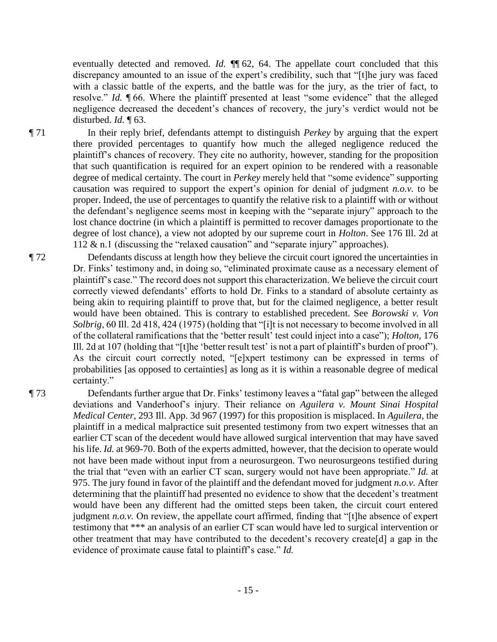eventually detected and removed. *Id.* ¶¶ 62, 64. The appellate court concluded that this discrepancy amounted to an issue of the expert's credibility, such that "[t]he jury was faced with a classic battle of the experts, and the battle was for the jury, as the trier of fact, to resolve." *Id.* ¶ 66. Where the plaintiff presented at least "some evidence" that the alleged negligence decreased the decedent's chances of recovery, the jury's verdict would not be disturbed. *Id.* ¶ 63.

¶ 71 In their reply brief, defendants attempt to distinguish *Perkey* by arguing that the expert there provided percentages to quantify how much the alleged negligence reduced the plaintiff's chances of recovery. They cite no authority, however, standing for the proposition that such quantification is required for an expert opinion to be rendered with a reasonable degree of medical certainty. The court in *Perkey* merely held that "some evidence" supporting causation was required to support the expert's opinion for denial of judgment *n.o.v.* to be proper. Indeed, the use of percentages to quantify the relative risk to a plaintiff with or without the defendant's negligence seems most in keeping with the "separate injury" approach to the lost chance doctrine (in which a plaintiff is permitted to recover damages proportionate to the degree of lost chance), a view not adopted by our supreme court in *Holton*. See 176 Ill. 2d at 112 & n.1 (discussing the "relaxed causation" and "separate injury" approaches).

¶ 72 Defendants discuss at length how they believe the circuit court ignored the uncertainties in Dr. Finks' testimony and, in doing so, "eliminated proximate cause as a necessary element of plaintiff's case." The record does not support this characterization. We believe the circuit court correctly viewed defendants' efforts to hold Dr. Finks to a standard of absolute certainty as being akin to requiring plaintiff to prove that, but for the claimed negligence, a better result would have been obtained. This is contrary to established precedent. See *Borowski v. Von Solbrig*, 60 Ill. 2d 418, 424 (1975) (holding that "[i]t is not necessary to become involved in all of the collateral ramifications that the 'better result' test could inject into a case"); *Holton*, 176 Ill. 2d at 107 (holding that "[t]he 'better result test' is not a part of plaintiff's burden of proof"). As the circuit court correctly noted, "[e]xpert testimony can be expressed in terms of probabilities [as opposed to certainties] as long as it is within a reasonable degree of medical certainty."

¶ 73 Defendants further argue that Dr. Finks' testimony leaves a "fatal gap" between the alleged deviations and Vanderhoof's injury. Their reliance on *Aguilera v. Mount Sinai Hospital Medical Center*, 293 Ill. App. 3d 967 (1997) for this proposition is misplaced. In *Aguilera*, the plaintiff in a medical malpractice suit presented testimony from two expert witnesses that an earlier CT scan of the decedent would have allowed surgical intervention that may have saved his life. *Id.* at 969-70. Both of the experts admitted, however, that the decision to operate would not have been made without input from a neurosurgeon. Two neurosurgeons testified during the trial that "even with an earlier CT scan, surgery would not have been appropriate." *Id.* at 975. The jury found in favor of the plaintiff and the defendant moved for judgment *n.o.v.* After determining that the plaintiff had presented no evidence to show that the decedent's treatment would have been any different had the omitted steps been taken, the circuit court entered judgment *n.o.v.* On review, the appellate court affirmed, finding that "[t]he absence of expert testimony that \*\*\* an analysis of an earlier CT scan would have led to surgical intervention or other treatment that may have contributed to the decedent's recovery create[d] a gap in the evidence of proximate cause fatal to plaintiff's case." *Id.*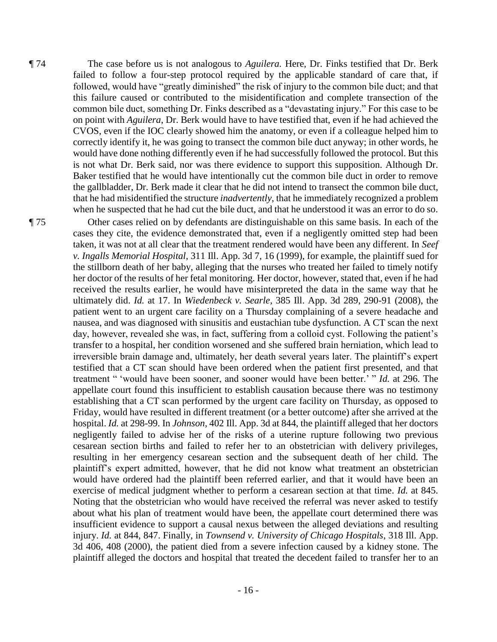¶ 74 The case before us is not analogous to *Aguilera.* Here, Dr. Finks testified that Dr. Berk failed to follow a four-step protocol required by the applicable standard of care that, if followed, would have "greatly diminished" the risk of injury to the common bile duct; and that this failure caused or contributed to the misidentification and complete transection of the common bile duct, something Dr. Finks described as a "devastating injury." For this case to be on point with *Aguilera*, Dr. Berk would have to have testified that, even if he had achieved the CVOS, even if the IOC clearly showed him the anatomy, or even if a colleague helped him to correctly identify it, he was going to transect the common bile duct anyway; in other words, he would have done nothing differently even if he had successfully followed the protocol. But this is not what Dr. Berk said, nor was there evidence to support this supposition. Although Dr. Baker testified that he would have intentionally cut the common bile duct in order to remove the gallbladder, Dr. Berk made it clear that he did not intend to transect the common bile duct, that he had misidentified the structure *inadvertently*, that he immediately recognized a problem when he suspected that he had cut the bile duct, and that he understood it was an error to do so.

¶ 75 Other cases relied on by defendants are distinguishable on this same basis. In each of the cases they cite, the evidence demonstrated that, even if a negligently omitted step had been taken, it was not at all clear that the treatment rendered would have been any different. In *Seef v. Ingalls Memorial Hospital*, 311 Ill. App. 3d 7, 16 (1999), for example, the plaintiff sued for the stillborn death of her baby, alleging that the nurses who treated her failed to timely notify her doctor of the results of her fetal monitoring. Her doctor, however, stated that, even if he had received the results earlier, he would have misinterpreted the data in the same way that he ultimately did. *Id.* at 17. In *Wiedenbeck v. Searle*, 385 Ill. App. 3d 289, 290-91 (2008), the patient went to an urgent care facility on a Thursday complaining of a severe headache and nausea, and was diagnosed with sinusitis and eustachian tube dysfunction. A CT scan the next day, however, revealed she was, in fact, suffering from a colloid cyst. Following the patient's transfer to a hospital, her condition worsened and she suffered brain herniation, which lead to irreversible brain damage and, ultimately, her death several years later. The plaintiff's expert testified that a CT scan should have been ordered when the patient first presented, and that treatment " 'would have been sooner, and sooner would have been better.' " *Id.* at 296. The appellate court found this insufficient to establish causation because there was no testimony establishing that a CT scan performed by the urgent care facility on Thursday, as opposed to Friday, would have resulted in different treatment (or a better outcome) after she arrived at the hospital. *Id.* at 298-99. In *Johnson*, 402 Ill. App. 3d at 844, the plaintiff alleged that her doctors negligently failed to advise her of the risks of a uterine rupture following two previous cesarean section births and failed to refer her to an obstetrician with delivery privileges, resulting in her emergency cesarean section and the subsequent death of her child. The plaintiff's expert admitted, however, that he did not know what treatment an obstetrician would have ordered had the plaintiff been referred earlier, and that it would have been an exercise of medical judgment whether to perform a cesarean section at that time. *Id.* at 845. Noting that the obstetrician who would have received the referral was never asked to testify about what his plan of treatment would have been, the appellate court determined there was insufficient evidence to support a causal nexus between the alleged deviations and resulting injury. *Id.* at 844, 847. Finally, in *Townsend v. University of Chicago Hospitals*, 318 Ill. App. 3d 406, 408 (2000), the patient died from a severe infection caused by a kidney stone. The plaintiff alleged the doctors and hospital that treated the decedent failed to transfer her to an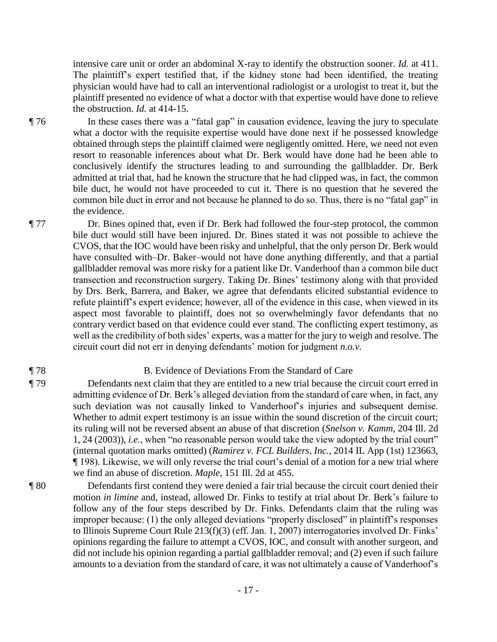intensive care unit or order an abdominal X-ray to identify the obstruction sooner. *Id.* at 411. The plaintiff's expert testified that, if the kidney stone had been identified, the treating physician would have had to call an interventional radiologist or a urologist to treat it, but the plaintiff presented no evidence of what a doctor with that expertise would have done to relieve the obstruction. *Id.* at 414-15.

¶ 76 In these cases there was a "fatal gap" in causation evidence, leaving the jury to speculate what a doctor with the requisite expertise would have done next if he possessed knowledge obtained through steps the plaintiff claimed were negligently omitted. Here, we need not even resort to reasonable inferences about what Dr. Berk would have done had he been able to conclusively identify the structures leading to and surrounding the gallbladder. Dr. Berk admitted at trial that, had he known the structure that he had clipped was, in fact, the common bile duct, he would not have proceeded to cut it. There is no question that he severed the common bile duct in error and not because he planned to do so. Thus, there is no "fatal gap" in the evidence.

¶ 77 Dr. Bines opined that, even if Dr. Berk had followed the four-step protocol, the common bile duct would still have been injured. Dr. Bines stated it was not possible to achieve the CVOS, that the IOC would have been risky and unhelpful, that the only person Dr. Berk would have consulted with–Dr. Baker–would not have done anything differently, and that a partial gallbladder removal was more risky for a patient like Dr. Vanderhoof than a common bile duct transection and reconstruction surgery. Taking Dr. Bines' testimony along with that provided by Drs. Berk, Barrera, and Baker, we agree that defendants elicited substantial evidence to refute plaintiff's expert evidence; however, all of the evidence in this case, when viewed in its aspect most favorable to plaintiff, does not so overwhelmingly favor defendants that no contrary verdict based on that evidence could ever stand. The conflicting expert testimony, as well as the credibility of both sides' experts, was a matter for the jury to weigh and resolve. The circuit court did not err in denying defendants' motion for judgment *n.o.v.* 

# ¶ 78 B. Evidence of Deviations From the Standard of Care

- ¶ 79 Defendants next claim that they are entitled to a new trial because the circuit court erred in admitting evidence of Dr. Berk's alleged deviation from the standard of care when, in fact, any such deviation was not causally linked to Vanderhoof's injuries and subsequent demise. Whether to admit expert testimony is an issue within the sound discretion of the circuit court; its ruling will not be reversed absent an abuse of that discretion (*Snelson v. Kamm*, 204 Ill. 2d 1, 24 (2003)), *i.e.*, when "no reasonable person would take the view adopted by the trial court" (internal quotation marks omitted) (*Ramirez v. FCL Builders, Inc.*, 2014 IL App (1st) 123663, ¶ 198). Likewise, we will only reverse the trial court's denial of a motion for a new trial where we find an abuse of discretion. *Maple*, 151 Ill. 2d at 455.
- ¶ 80 Defendants first contend they were denied a fair trial because the circuit court denied their motion *in limine* and, instead, allowed Dr. Finks to testify at trial about Dr. Berk's failure to follow any of the four steps described by Dr. Finks. Defendants claim that the ruling was improper because: (1) the only alleged deviations "properly disclosed" in plaintiff's responses to Illinois Supreme Court Rule 213(f)(3) (eff. Jan. 1, 2007) interrogatories involved Dr. Finks' opinions regarding the failure to attempt a CVOS, IOC, and consult with another surgeon, and did not include his opinion regarding a partial gallbladder removal; and (2) even if such failure amounts to a deviation from the standard of care, it was not ultimately a cause of Vanderhoof's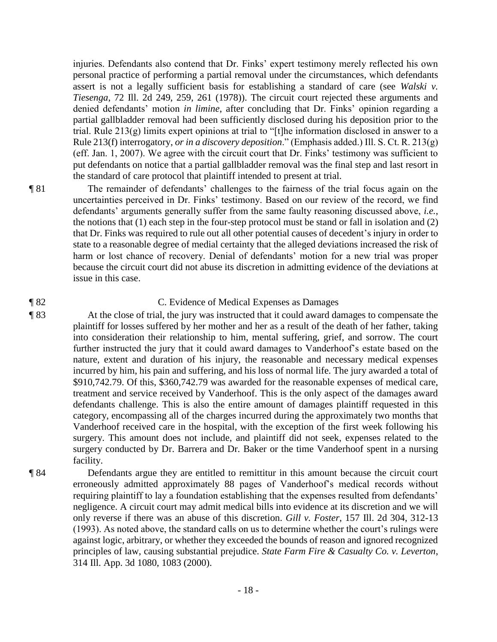injuries. Defendants also contend that Dr. Finks' expert testimony merely reflected his own personal practice of performing a partial removal under the circumstances, which defendants assert is not a legally sufficient basis for establishing a standard of care (see *Walski v. Tiesenga*, 72 Ill. 2d 249, 259, 261 (1978)). The circuit court rejected these arguments and denied defendants' motion *in limine*, after concluding that Dr. Finks' opinion regarding a partial gallbladder removal had been sufficiently disclosed during his deposition prior to the trial. Rule 213(g) limits expert opinions at trial to "[t]he information disclosed in answer to a Rule 213(f) interrogatory, *or in a discovery deposition*." (Emphasis added.) Ill. S. Ct. R. 213(g) (eff. Jan. 1, 2007). We agree with the circuit court that Dr. Finks' testimony was sufficient to put defendants on notice that a partial gallbladder removal was the final step and last resort in the standard of care protocol that plaintiff intended to present at trial.

¶ 81 The remainder of defendants' challenges to the fairness of the trial focus again on the uncertainties perceived in Dr. Finks' testimony. Based on our review of the record, we find defendants' arguments generally suffer from the same faulty reasoning discussed above, *i.e.*, the notions that (1) each step in the four-step protocol must be stand or fall in isolation and (2) that Dr. Finks was required to rule out all other potential causes of decedent's injury in order to state to a reasonable degree of medial certainty that the alleged deviations increased the risk of harm or lost chance of recovery. Denial of defendants' motion for a new trial was proper because the circuit court did not abuse its discretion in admitting evidence of the deviations at issue in this case.

#### ¶ 82 C. Evidence of Medical Expenses as Damages

¶ 83 At the close of trial, the jury was instructed that it could award damages to compensate the plaintiff for losses suffered by her mother and her as a result of the death of her father, taking into consideration their relationship to him, mental suffering, grief, and sorrow. The court further instructed the jury that it could award damages to Vanderhoof's estate based on the nature, extent and duration of his injury, the reasonable and necessary medical expenses incurred by him, his pain and suffering, and his loss of normal life. The jury awarded a total of \$910,742.79. Of this, \$360,742.79 was awarded for the reasonable expenses of medical care, treatment and service received by Vanderhoof. This is the only aspect of the damages award defendants challenge. This is also the entire amount of damages plaintiff requested in this category, encompassing all of the charges incurred during the approximately two months that Vanderhoof received care in the hospital, with the exception of the first week following his surgery. This amount does not include, and plaintiff did not seek, expenses related to the surgery conducted by Dr. Barrera and Dr. Baker or the time Vanderhoof spent in a nursing facility.

¶ 84 Defendants argue they are entitled to remittitur in this amount because the circuit court erroneously admitted approximately 88 pages of Vanderhoof's medical records without requiring plaintiff to lay a foundation establishing that the expenses resulted from defendants' negligence. A circuit court may admit medical bills into evidence at its discretion and we will only reverse if there was an abuse of this discretion. *Gill v. Foster*, 157 Ill. 2d 304, 312-13 (1993). As noted above, the standard calls on us to determine whether the court's rulings were against logic, arbitrary, or whether they exceeded the bounds of reason and ignored recognized principles of law, causing substantial prejudice. *State Farm Fire & Casualty Co. v. Leverton*, 314 Ill. App. 3d 1080, 1083 (2000).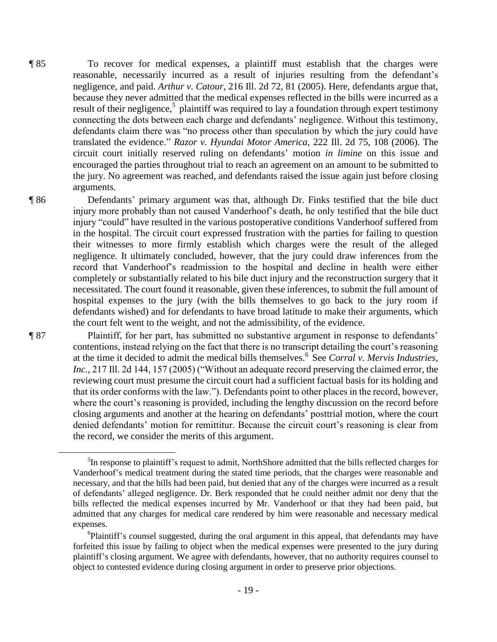¶ 85 To recover for medical expenses, a plaintiff must establish that the charges were reasonable, necessarily incurred as a result of injuries resulting from the defendant's negligence, and paid. *Arthur v. Catour*, 216 Ill. 2d 72, 81 (2005). Here, defendants argue that, because they never admitted that the medical expenses reflected in the bills were incurred as a result of their negligence,<sup>5</sup> plaintiff was required to lay a foundation through expert testimony connecting the dots between each charge and defendants' negligence. Without this testimony, defendants claim there was "no process other than speculation by which the jury could have translated the evidence." *Razor v. Hyundai Motor America*, 222 Ill. 2d 75, 108 (2006). The circuit court initially reserved ruling on defendants' motion *in limine* on this issue and encouraged the parties throughout trial to reach an agreement on an amount to be submitted to the jury. No agreement was reached, and defendants raised the issue again just before closing arguments.

¶ 86 Defendants' primary argument was that, although Dr. Finks testified that the bile duct injury more probably than not caused Vanderhoof's death, he only testified that the bile duct injury "could" have resulted in the various postoperative conditions Vanderhoof suffered from in the hospital. The circuit court expressed frustration with the parties for failing to question their witnesses to more firmly establish which charges were the result of the alleged negligence. It ultimately concluded, however, that the jury could draw inferences from the record that Vanderhoof's readmission to the hospital and decline in health were either completely or substantially related to his bile duct injury and the reconstruction surgery that it necessitated. The court found it reasonable, given these inferences, to submit the full amount of hospital expenses to the jury (with the bills themselves to go back to the jury room if defendants wished) and for defendants to have broad latitude to make their arguments, which the court felt went to the weight, and not the admissibility, of the evidence.

¶ 87 Plaintiff, for her part, has submitted no substantive argument in response to defendants' contentions, instead relying on the fact that there is no transcript detailing the court's reasoning at the time it decided to admit the medical bills themselves.<sup>6</sup> See *Corral v. Mervis Industries, Inc.*, 217 Ill. 2d 144, 157 (2005) ("Without an adequate record preserving the claimed error, the reviewing court must presume the circuit court had a sufficient factual basis for its holding and that its order conforms with the law."). Defendants point to other places in the record, however, where the court's reasoning is provided, including the lengthy discussion on the record before closing arguments and another at the hearing on defendants' posttrial motion, where the court denied defendants' motion for remittitur. Because the circuit court's reasoning is clear from the record, we consider the merits of this argument.

 $\overline{a}$ 

<sup>&</sup>lt;sup>5</sup>In response to plaintiff's request to admit, NorthShore admitted that the bills reflected charges for Vanderhoof's medical treatment during the stated time periods, that the charges were reasonable and necessary, and that the bills had been paid, but denied that any of the charges were incurred as a result of defendants' alleged negligence. Dr. Berk responded that he could neither admit nor deny that the bills reflected the medical expenses incurred by Mr. Vanderhoof or that they had been paid, but admitted that any charges for medical care rendered by him were reasonable and necessary medical expenses.

<sup>&</sup>lt;sup>6</sup>Plaintiff's counsel suggested, during the oral argument in this appeal, that defendants may have forfeited this issue by failing to object when the medical expenses were presented to the jury during plaintiff's closing argument. We agree with defendants, however, that no authority requires counsel to object to contested evidence during closing argument in order to preserve prior objections.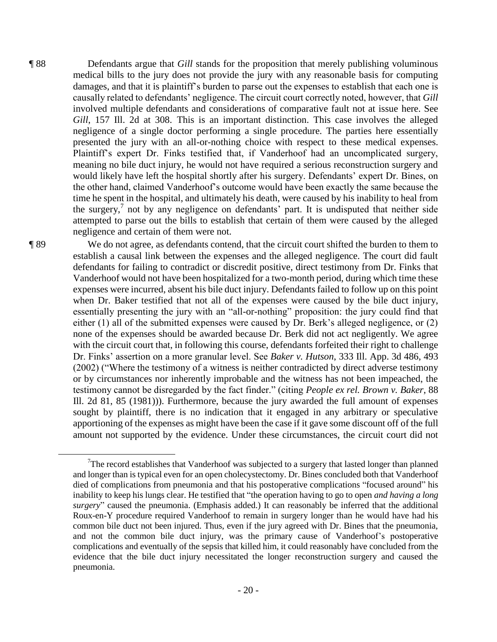¶ 88 Defendants argue that *Gill* stands for the proposition that merely publishing voluminous medical bills to the jury does not provide the jury with any reasonable basis for computing damages, and that it is plaintiff's burden to parse out the expenses to establish that each one is causally related to defendants' negligence. The circuit court correctly noted, however, that *Gill* involved multiple defendants and considerations of comparative fault not at issue here. See *Gill*, 157 Ill. 2d at 308. This is an important distinction. This case involves the alleged negligence of a single doctor performing a single procedure. The parties here essentially presented the jury with an all-or-nothing choice with respect to these medical expenses. Plaintiff's expert Dr. Finks testified that, if Vanderhoof had an uncomplicated surgery, meaning no bile duct injury, he would not have required a serious reconstruction surgery and would likely have left the hospital shortly after his surgery. Defendants' expert Dr. Bines, on the other hand, claimed Vanderhoof's outcome would have been exactly the same because the time he spent in the hospital, and ultimately his death, were caused by his inability to heal from the surgery,<sup>7</sup> not by any negligence on defendants' part. It is undisputed that neither side attempted to parse out the bills to establish that certain of them were caused by the alleged negligence and certain of them were not.

¶ 89 We do not agree, as defendants contend, that the circuit court shifted the burden to them to establish a causal link between the expenses and the alleged negligence. The court did fault defendants for failing to contradict or discredit positive, direct testimony from Dr. Finks that Vanderhoof would not have been hospitalized for a two-month period, during which time these expenses were incurred, absent his bile duct injury. Defendants failed to follow up on this point when Dr. Baker testified that not all of the expenses were caused by the bile duct injury, essentially presenting the jury with an "all-or-nothing" proposition: the jury could find that either (1) all of the submitted expenses were caused by Dr. Berk's alleged negligence, or (2) none of the expenses should be awarded because Dr. Berk did not act negligently. We agree with the circuit court that, in following this course, defendants forfeited their right to challenge Dr. Finks' assertion on a more granular level. See *Baker v. Hutson*, 333 Ill. App. 3d 486, 493 (2002) ("Where the testimony of a witness is neither contradicted by direct adverse testimony or by circumstances nor inherently improbable and the witness has not been impeached, the testimony cannot be disregarded by the fact finder." (citing *People ex rel. Brown v. Baker*, 88 Ill. 2d 81, 85 (1981))). Furthermore, because the jury awarded the full amount of expenses sought by plaintiff, there is no indication that it engaged in any arbitrary or speculative apportioning of the expenses as might have been the case if it gave some discount off of the full amount not supported by the evidence. Under these circumstances, the circuit court did not

 $\overline{a}$ 

 $T$ The record establishes that Vanderhoof was subjected to a surgery that lasted longer than planned and longer than is typical even for an open cholecystectomy. Dr. Bines concluded both that Vanderhoof died of complications from pneumonia and that his postoperative complications "focused around" his inability to keep his lungs clear. He testified that "the operation having to go to open *and having a long surgery*" caused the pneumonia. (Emphasis added.) It can reasonably be inferred that the additional Roux-en-Y procedure required Vanderhoof to remain in surgery longer than he would have had his common bile duct not been injured. Thus, even if the jury agreed with Dr. Bines that the pneumonia, and not the common bile duct injury, was the primary cause of Vanderhoof's postoperative complications and eventually of the sepsis that killed him, it could reasonably have concluded from the evidence that the bile duct injury necessitated the longer reconstruction surgery and caused the pneumonia.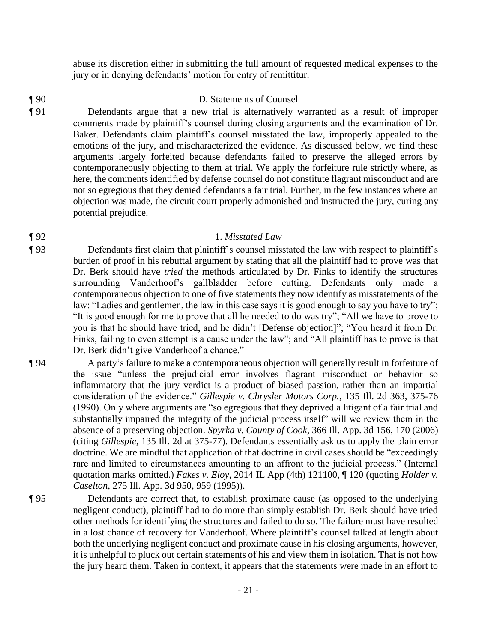abuse its discretion either in submitting the full amount of requested medical expenses to the jury or in denying defendants' motion for entry of remittitur.

- ¶ 90 D. Statements of Counsel
- ¶ 91 Defendants argue that a new trial is alternatively warranted as a result of improper comments made by plaintiff's counsel during closing arguments and the examination of Dr. Baker. Defendants claim plaintiff's counsel misstated the law, improperly appealed to the emotions of the jury, and mischaracterized the evidence. As discussed below, we find these arguments largely forfeited because defendants failed to preserve the alleged errors by contemporaneously objecting to them at trial. We apply the forfeiture rule strictly where, as here, the comments identified by defense counsel do not constitute flagrant misconduct and are not so egregious that they denied defendants a fair trial. Further, in the few instances where an objection was made, the circuit court properly admonished and instructed the jury, curing any potential prejudice.

# ¶ 92 1. *Misstated Law*

- ¶ 93 Defendants first claim that plaintiff's counsel misstated the law with respect to plaintiff's burden of proof in his rebuttal argument by stating that all the plaintiff had to prove was that Dr. Berk should have *tried* the methods articulated by Dr. Finks to identify the structures surrounding Vanderhoof's gallbladder before cutting. Defendants only made a contemporaneous objection to one of five statements they now identify as misstatements of the law: "Ladies and gentlemen, the law in this case says it is good enough to say you have to try"; "It is good enough for me to prove that all he needed to do was try"; "All we have to prove to you is that he should have tried, and he didn't [Defense objection]"; "You heard it from Dr. Finks, failing to even attempt is a cause under the law"; and "All plaintiff has to prove is that Dr. Berk didn't give Vanderhoof a chance."
- ¶ 94 A party's failure to make a contemporaneous objection will generally result in forfeiture of the issue "unless the prejudicial error involves flagrant misconduct or behavior so inflammatory that the jury verdict is a product of biased passion, rather than an impartial consideration of the evidence." *Gillespie v. Chrysler Motors Corp.*, 135 Ill. 2d 363, 375-76 (1990). Only where arguments are "so egregious that they deprived a litigant of a fair trial and substantially impaired the integrity of the judicial process itself" will we review them in the absence of a preserving objection. *Spyrka v. County of Cook*, 366 Ill. App. 3d 156, 170 (2006) (citing *Gillespie*, 135 Ill. 2d at 375-77). Defendants essentially ask us to apply the plain error doctrine. We are mindful that application of that doctrine in civil cases should be "exceedingly rare and limited to circumstances amounting to an affront to the judicial process." (Internal quotation marks omitted.) *Fakes v. Eloy*, 2014 IL App (4th) 121100, ¶ 120 (quoting *Holder v. Caselton*, 275 Ill. App. 3d 950, 959 (1995)).
- ¶ 95 Defendants are correct that, to establish proximate cause (as opposed to the underlying negligent conduct), plaintiff had to do more than simply establish Dr. Berk should have tried other methods for identifying the structures and failed to do so. The failure must have resulted in a lost chance of recovery for Vanderhoof. Where plaintiff's counsel talked at length about both the underlying negligent conduct and proximate cause in his closing arguments, however, it is unhelpful to pluck out certain statements of his and view them in isolation. That is not how the jury heard them. Taken in context, it appears that the statements were made in an effort to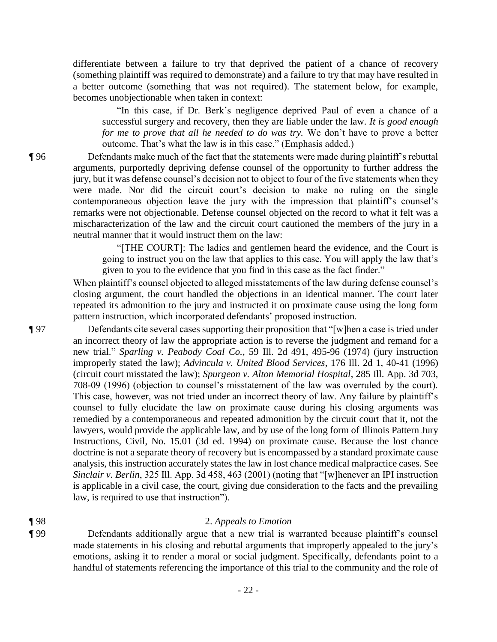differentiate between a failure to try that deprived the patient of a chance of recovery (something plaintiff was required to demonstrate) and a failure to try that may have resulted in a better outcome (something that was not required). The statement below, for example, becomes unobjectionable when taken in context:

"In this case, if Dr. Berk's negligence deprived Paul of even a chance of a successful surgery and recovery, then they are liable under the law*. It is good enough for me to prove that all he needed to do was try.* We don't have to prove a better outcome. That's what the law is in this case." (Emphasis added.)

¶ 96 Defendants make much of the fact that the statements were made during plaintiff's rebuttal arguments, purportedly depriving defense counsel of the opportunity to further address the jury, but it was defense counsel's decision not to object to four of the five statements when they were made. Nor did the circuit court's decision to make no ruling on the single contemporaneous objection leave the jury with the impression that plaintiff's counsel's remarks were not objectionable. Defense counsel objected on the record to what it felt was a mischaracterization of the law and the circuit court cautioned the members of the jury in a neutral manner that it would instruct them on the law:

> "[THE COURT]: The ladies and gentlemen heard the evidence, and the Court is going to instruct you on the law that applies to this case. You will apply the law that's given to you to the evidence that you find in this case as the fact finder."

When plaintiff's counsel objected to alleged misstatements of the law during defense counsel's closing argument, the court handled the objections in an identical manner. The court later repeated its admonition to the jury and instructed it on proximate cause using the long form pattern instruction, which incorporated defendants' proposed instruction.

¶ 97 Defendants cite several cases supporting their proposition that "[w]hen a case is tried under an incorrect theory of law the appropriate action is to reverse the judgment and remand for a new trial." *Sparling v. Peabody Coal Co.*, 59 Ill. 2d 491, 495-96 (1974) (jury instruction improperly stated the law); *Advincula v. United Blood Services*, 176 Ill. 2d 1, 40-41 (1996) (circuit court misstated the law); *Spurgeon v. Alton Memorial Hospital*, 285 Ill. App. 3d 703, 708-09 (1996) (objection to counsel's misstatement of the law was overruled by the court). This case, however, was not tried under an incorrect theory of law. Any failure by plaintiff's counsel to fully elucidate the law on proximate cause during his closing arguments was remedied by a contemporaneous and repeated admonition by the circuit court that it, not the lawyers, would provide the applicable law, and by use of the long form of Illinois Pattern Jury Instructions, Civil, No. 15.01 (3d ed. 1994) on proximate cause. Because the lost chance doctrine is not a separate theory of recovery but is encompassed by a standard proximate cause analysis, this instruction accurately states the law in lost chance medical malpractice cases. See *Sinclair v. Berlin*, 325 Ill. App. 3d 458, 463 (2001) (noting that "[w]henever an IPI instruction is applicable in a civil case, the court, giving due consideration to the facts and the prevailing law, is required to use that instruction").

# ¶ 98 2. *Appeals to Emotion*

¶ 99 Defendants additionally argue that a new trial is warranted because plaintiff's counsel made statements in his closing and rebuttal arguments that improperly appealed to the jury's emotions, asking it to render a moral or social judgment. Specifically, defendants point to a handful of statements referencing the importance of this trial to the community and the role of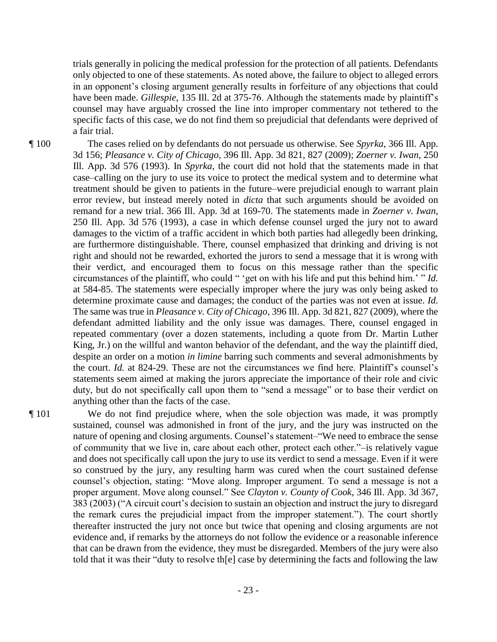trials generally in policing the medical profession for the protection of all patients. Defendants only objected to one of these statements. As noted above, the failure to object to alleged errors in an opponent's closing argument generally results in forfeiture of any objections that could have been made. *Gillespie*, 135 Ill. 2d at 375-76. Although the statements made by plaintiff's counsel may have arguably crossed the line into improper commentary not tethered to the specific facts of this case, we do not find them so prejudicial that defendants were deprived of a fair trial.

¶ 100 The cases relied on by defendants do not persuade us otherwise. See *Spyrka*, 366 Ill. App. 3d 156; *Pleasance v. City of Chicago*, 396 Ill. App. 3d 821, 827 (2009); *Zoerner v. Iwan*, 250 Ill. App. 3d 576 (1993). In *Spyrka*, the court did not hold that the statements made in that case–calling on the jury to use its voice to protect the medical system and to determine what treatment should be given to patients in the future–were prejudicial enough to warrant plain error review, but instead merely noted in *dicta* that such arguments should be avoided on remand for a new trial. 366 Ill. App. 3d at 169-70. The statements made in *Zoerner v. Iwan*, 250 Ill. App. 3d 576 (1993), a case in which defense counsel urged the jury not to award damages to the victim of a traffic accident in which both parties had allegedly been drinking, are furthermore distinguishable. There, counsel emphasized that drinking and driving is not right and should not be rewarded, exhorted the jurors to send a message that it is wrong with their verdict, and encouraged them to focus on this message rather than the specific circumstances of the plaintiff, who could " 'get on with his life and put this behind him.' " *Id.* at 584-85. The statements were especially improper where the jury was only being asked to determine proximate cause and damages; the conduct of the parties was not even at issue. *Id.*  The same was true in *Pleasance v. City of Chicago*, 396 Ill. App. 3d 821, 827 (2009), where the defendant admitted liability and the only issue was damages. There, counsel engaged in repeated commentary (over a dozen statements, including a quote from Dr. Martin Luther King, Jr.) on the willful and wanton behavior of the defendant, and the way the plaintiff died, despite an order on a motion *in limine* barring such comments and several admonishments by the court. *Id.* at 824-29. These are not the circumstances we find here. Plaintiff's counsel's statements seem aimed at making the jurors appreciate the importance of their role and civic duty, but do not specifically call upon them to "send a message" or to base their verdict on anything other than the facts of the case.

¶ 101 We do not find prejudice where, when the sole objection was made, it was promptly sustained, counsel was admonished in front of the jury, and the jury was instructed on the nature of opening and closing arguments. Counsel's statement–"We need to embrace the sense of community that we live in, care about each other, protect each other."–is relatively vague and does not specifically call upon the jury to use its verdict to send a message. Even if it were so construed by the jury, any resulting harm was cured when the court sustained defense counsel's objection, stating: "Move along. Improper argument. To send a message is not a proper argument. Move along counsel." See *Clayton v. County of Cook*, 346 Ill. App. 3d 367, 383 (2003) ("A circuit court's decision to sustain an objection and instruct the jury to disregard the remark cures the prejudicial impact from the improper statement."). The court shortly thereafter instructed the jury not once but twice that opening and closing arguments are not evidence and, if remarks by the attorneys do not follow the evidence or a reasonable inference that can be drawn from the evidence, they must be disregarded. Members of the jury were also told that it was their "duty to resolve th[e] case by determining the facts and following the law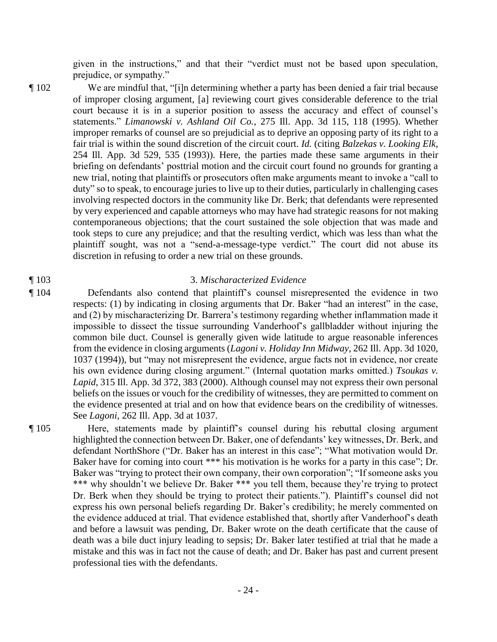given in the instructions," and that their "verdict must not be based upon speculation, prejudice, or sympathy."

- ¶ 102 We are mindful that, "[i]n determining whether a party has been denied a fair trial because of improper closing argument, [a] reviewing court gives considerable deference to the trial court because it is in a superior position to assess the accuracy and effect of counsel's statements." *Limanowski v. Ashland Oil Co.*, 275 Ill. App. 3d 115, 118 (1995). Whether improper remarks of counsel are so prejudicial as to deprive an opposing party of its right to a fair trial is within the sound discretion of the circuit court. *Id.* (citing *Balzekas v. Looking Elk*, 254 Ill. App. 3d 529, 535 (1993)). Here, the parties made these same arguments in their briefing on defendants' posttrial motion and the circuit court found no grounds for granting a new trial, noting that plaintiffs or prosecutors often make arguments meant to invoke a "call to duty" so to speak, to encourage juries to live up to their duties, particularly in challenging cases involving respected doctors in the community like Dr. Berk; that defendants were represented by very experienced and capable attorneys who may have had strategic reasons for not making contemporaneous objections; that the court sustained the sole objection that was made and took steps to cure any prejudice; and that the resulting verdict, which was less than what the plaintiff sought, was not a "send-a-message-type verdict." The court did not abuse its discretion in refusing to order a new trial on these grounds.
- 

### ¶ 1033. *Mischaracterized Evidence*

¶ 104 Defendants also contend that plaintiff's counsel misrepresented the evidence in two respects: (1) by indicating in closing arguments that Dr. Baker "had an interest" in the case, and (2) by mischaracterizing Dr. Barrera's testimony regarding whether inflammation made it impossible to dissect the tissue surrounding Vanderhoof's gallbladder without injuring the common bile duct. Counsel is generally given wide latitude to argue reasonable inferences from the evidence in closing arguments (*Lagoni v. Holiday Inn Midway*, 262 Ill. App. 3d 1020, 1037 (1994)), but "may not misrepresent the evidence, argue facts not in evidence, nor create his own evidence during closing argument." (Internal quotation marks omitted.) *Tsoukas v. Lapid*, 315 Ill. App. 3d 372, 383 (2000). Although counsel may not express their own personal beliefs on the issues or vouch for the credibility of witnesses, they are permitted to comment on the evidence presented at trial and on how that evidence bears on the credibility of witnesses. See *Lagoni*, 262 Ill. App. 3d at 1037.

¶ 105 Here, statements made by plaintiff's counsel during his rebuttal closing argument highlighted the connection between Dr. Baker, one of defendants' key witnesses, Dr. Berk, and defendant NorthShore ("Dr. Baker has an interest in this case"; "What motivation would Dr. Baker have for coming into court \*\*\* his motivation is he works for a party in this case"; Dr. Baker was "trying to protect their own company, their own corporation"; "If someone asks you \*\*\* why shouldn't we believe Dr. Baker \*\*\* you tell them, because they're trying to protect Dr. Berk when they should be trying to protect their patients."). Plaintiff's counsel did not express his own personal beliefs regarding Dr. Baker's credibility; he merely commented on the evidence adduced at trial. That evidence established that, shortly after Vanderhoof's death and before a lawsuit was pending, Dr. Baker wrote on the death certificate that the cause of death was a bile duct injury leading to sepsis; Dr. Baker later testified at trial that he made a mistake and this was in fact not the cause of death; and Dr. Baker has past and current present professional ties with the defendants.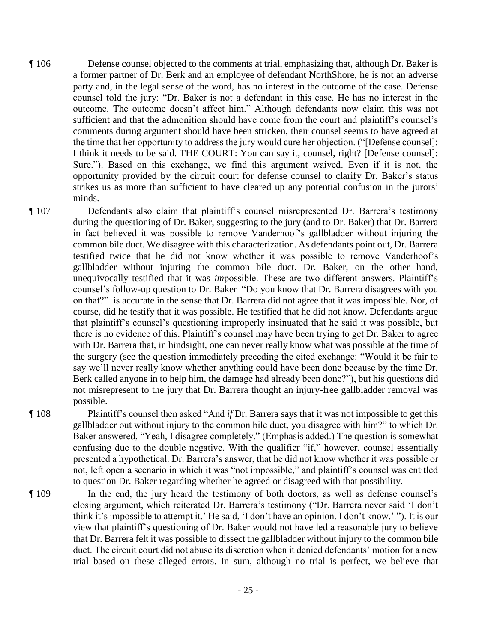- ¶ 106 Defense counsel objected to the comments at trial, emphasizing that, although Dr. Baker is a former partner of Dr. Berk and an employee of defendant NorthShore, he is not an adverse party and, in the legal sense of the word, has no interest in the outcome of the case. Defense counsel told the jury: "Dr. Baker is not a defendant in this case. He has no interest in the outcome. The outcome doesn't affect him." Although defendants now claim this was not sufficient and that the admonition should have come from the court and plaintiff's counsel's comments during argument should have been stricken, their counsel seems to have agreed at the time that her opportunity to address the jury would cure her objection. ("[Defense counsel]: I think it needs to be said. THE COURT: You can say it, counsel, right? [Defense counsel]: Sure."). Based on this exchange, we find this argument waived. Even if it is not, the opportunity provided by the circuit court for defense counsel to clarify Dr. Baker's status strikes us as more than sufficient to have cleared up any potential confusion in the jurors' minds.
- ¶ 107 Defendants also claim that plaintiff's counsel misrepresented Dr. Barrera's testimony during the questioning of Dr. Baker, suggesting to the jury (and to Dr. Baker) that Dr. Barrera in fact believed it was possible to remove Vanderhoof's gallbladder without injuring the common bile duct. We disagree with this characterization. As defendants point out, Dr. Barrera testified twice that he did not know whether it was possible to remove Vanderhoof's gallbladder without injuring the common bile duct. Dr. Baker, on the other hand, unequivocally testified that it was *im*possible. These are two different answers. Plaintiff's counsel's follow-up question to Dr. Baker–"Do you know that Dr. Barrera disagrees with you on that?"–is accurate in the sense that Dr. Barrera did not agree that it was impossible. Nor, of course, did he testify that it was possible. He testified that he did not know. Defendants argue that plaintiff's counsel's questioning improperly insinuated that he said it was possible, but there is no evidence of this. Plaintiff's counsel may have been trying to get Dr. Baker to agree with Dr. Barrera that, in hindsight, one can never really know what was possible at the time of the surgery (see the question immediately preceding the cited exchange: "Would it be fair to say we'll never really know whether anything could have been done because by the time Dr. Berk called anyone in to help him, the damage had already been done?"), but his questions did not misrepresent to the jury that Dr. Barrera thought an injury-free gallbladder removal was possible.

¶ 108 Plaintiff's counsel then asked "And *if* Dr. Barrera says that it was not impossible to get this gallbladder out without injury to the common bile duct, you disagree with him?" to which Dr. Baker answered, "Yeah, I disagree completely." (Emphasis added.) The question is somewhat confusing due to the double negative. With the qualifier "if," however, counsel essentially presented a hypothetical. Dr. Barrera's answer, that he did not know whether it was possible or not, left open a scenario in which it was "not impossible," and plaintiff's counsel was entitled to question Dr. Baker regarding whether he agreed or disagreed with that possibility.

¶ 109 In the end, the jury heard the testimony of both doctors, as well as defense counsel's closing argument, which reiterated Dr. Barrera's testimony ("Dr. Barrera never said 'I don't think it's impossible to attempt it.' He said, 'I don't have an opinion. I don't know.' "). It is our view that plaintiff's questioning of Dr. Baker would not have led a reasonable jury to believe that Dr. Barrera felt it was possible to dissect the gallbladder without injury to the common bile duct. The circuit court did not abuse its discretion when it denied defendants' motion for a new trial based on these alleged errors. In sum, although no trial is perfect, we believe that